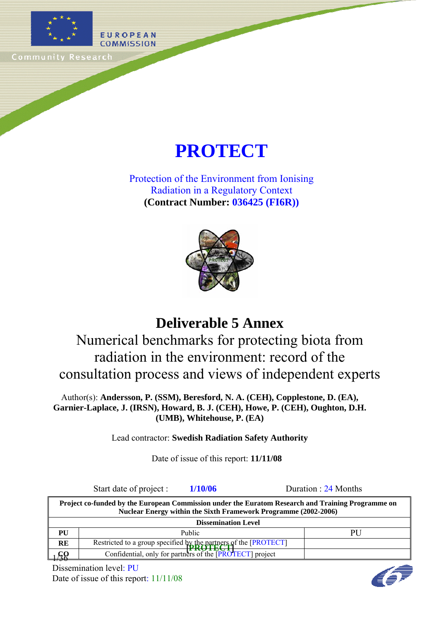

# **PROTECT**

Protection of the Environment from Ionising Radiation in a Regulatory Context **(Contract Number: 036425 (FI6R))**



# **Deliverable 5 Annex**

Numerical benchmarks for protecting biota from radiation in the environment: record of the consultation process and views of independent experts

Author(s): **Andersson, P. (SSM), Beresford, N. A. (CEH), Copplestone, D. (EA), Garnier-Laplace, J. (IRSN), Howard, B. J. (CEH), Howe, P. (CEH), Oughton, D.H. (UMB), Whitehouse, P. (EA)** 

Lead contractor: **Swedish Radiation Safety Authority**

Date of issue of this report: **11/11/08**

Start date of project : **1/10/06** Duration : 24 Months

**RE Restricted to a group specified by the partners of the [PROTECT]**  $1/99$ **Project co-funded by the European Commission under the Euratom Research and Training Programme on Nuclear Energy within the Sixth Framework Programme (2002-2006) Dissemination Level PU** Public Public PU Confidential, only for partners of the **PROTECT** project

Dissemination level: PU Date of issue of this report:  $11/11/08$ 

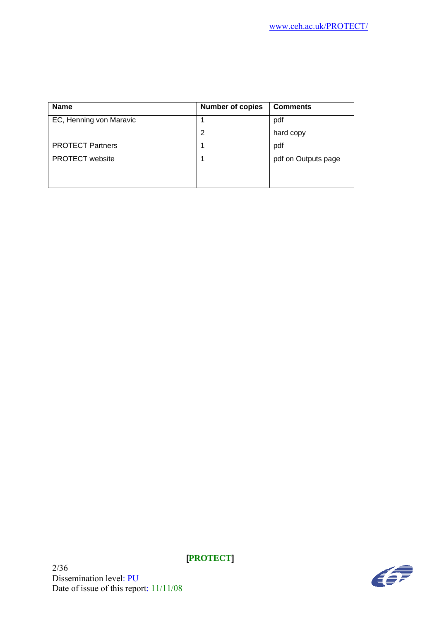| <b>Name</b>             | <b>Number of copies</b> | <b>Comments</b>     |
|-------------------------|-------------------------|---------------------|
| EC, Henning von Maravic |                         | pdf                 |
|                         | 2                       | hard copy           |
| <b>PROTECT Partners</b> |                         | pdf                 |
| <b>PROTECT</b> website  |                         | pdf on Outputs page |
|                         |                         |                     |
|                         |                         |                     |

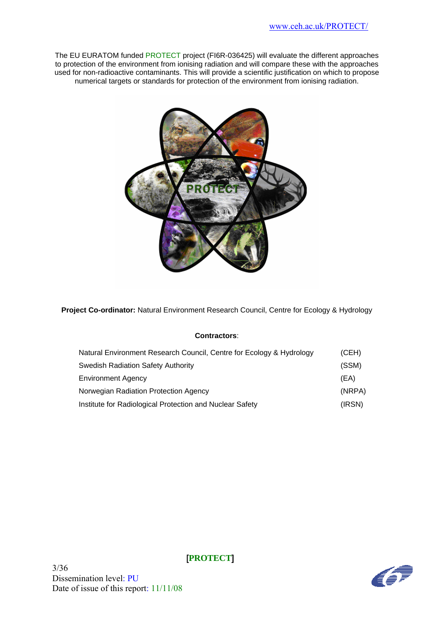The EU EURATOM funded PROTECT project (FI6R-036425) will evaluate the different approaches to protection of the environment from ionising radiation and will compare these with the approaches used for non-radioactive contaminants. This will provide a scientific justification on which to propose numerical targets or standards for protection of the environment from ionising radiation.



**Project Co-ordinator:** Natural Environment Research Council, Centre for Ecology & Hydrology

#### **Contractors**:

| Natural Environment Research Council, Centre for Ecology & Hydrology | (CEH)  |
|----------------------------------------------------------------------|--------|
| <b>Swedish Radiation Safety Authority</b>                            | (SSM)  |
| <b>Environment Agency</b>                                            | (EA)   |
| Norwegian Radiation Protection Agency                                | (NRPA) |
| Institute for Radiological Protection and Nuclear Safety             | (IRSN) |

3/36 Dissemination level: PU Date of issue of this report: 11/11/08

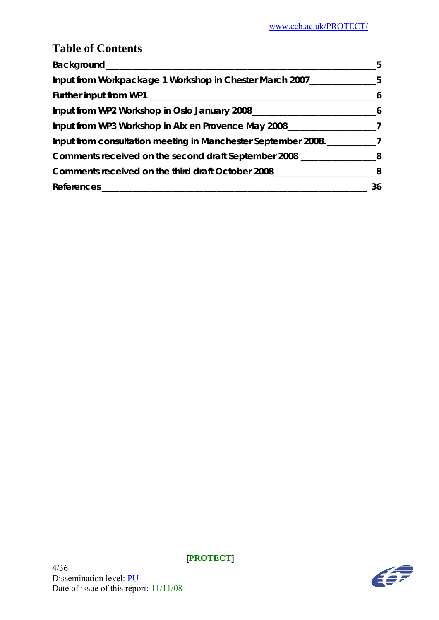# **Table of Contents**

| Background_                                                   | 5  |
|---------------------------------------------------------------|----|
| Input from Workpackage 1 Workshop in Chester March 2007___    | 5  |
|                                                               |    |
| Input from WP2 Workshop in Oslo January 2008_                 | 6  |
| Input from WP3 Workshop in Aix en Provence May 2008___        |    |
| Input from consultation meeting in Manchester September 2008. |    |
| Comments received on the second draft September 2008          |    |
| Comments received on the third draft October 2008             |    |
| <b>References</b>                                             | 36 |

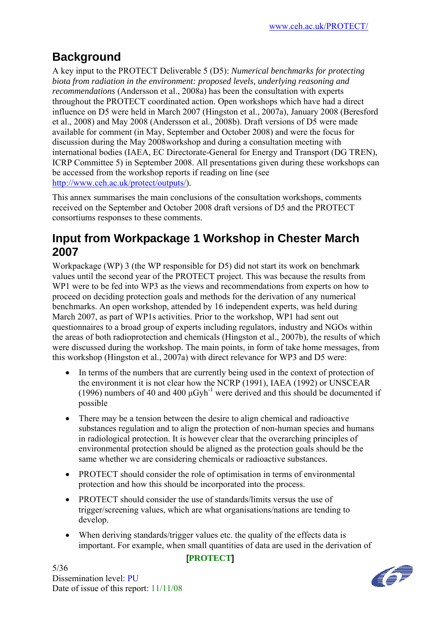# **Background**

A key input to the PROTECT Deliverable 5 (D5): *Numerical benchmarks for protecting biota from radiation in the environment: proposed levels, underlying reasoning and recommendations* (Andersson et al., 2008a) has been the consultation with experts throughout the PROTECT coordinated action. Open workshops which have had a direct influence on D5 were held in March 2007 (Hingston et al., 2007a), January 2008 (Beresford et al., 2008) and May 2008 (Andersson et al., 2008b). Draft versions of D5 were made available for comment (in May, September and October 2008) and were the focus for discussion during the May 2008workshop and during a consultation meeting with international bodies (IAEA, EC Directorate-General for Energy and Transport (DG TREN), ICRP Committee 5) in September 2008. All presentations given during these workshops can be accessed from the workshop reports if reading on line (see http://www.ceh.ac.uk/protect/outputs/).

This annex summarises the main conclusions of the consultation workshops, comments received on the September and October 2008 draft versions of D5 and the PROTECT consortiums responses to these comments.

## **Input from Workpackage 1 Workshop in Chester March 2007**

Workpackage (WP) 3 (the WP responsible for D5) did not start its work on benchmark values until the second year of the PROTECT project. This was because the results from WP1 were to be fed into WP3 as the views and recommendations from experts on how to proceed on deciding protection goals and methods for the derivation of any numerical benchmarks. An open workshop, attended by 16 independent experts, was held during March 2007, as part of WP1s activities. Prior to the workshop, WP1 had sent out questionnaires to a broad group of experts including regulators, industry and NGOs within the areas of both radioprotection and chemicals (Hingston et al., 2007b), the results of which were discussed during the workshop. The main points, in form of take home messages, from this workshop (Hingston et al., 2007a) with direct relevance for WP3 and D5 were:

- In terms of the numbers that are currently being used in the context of protection of the environment it is not clear how the NCRP (1991), IAEA (1992) or UNSCEAR (1996) numbers of 40 and 400  $\mu$ Gyh<sup>-1</sup> were derived and this should be documented if possible
- There may be a tension between the desire to align chemical and radioactive substances regulation and to align the protection of non-human species and humans in radiological protection. It is however clear that the overarching principles of environmental protection should be aligned as the protection goals should be the same whether we are considering chemicals or radioactive substances.
- PROTECT should consider the role of optimisation in terms of environmental protection and how this should be incorporated into the process.
- PROTECT should consider the use of standards/limits versus the use of trigger/screening values, which are what organisations/nations are tending to develop.
- When deriving standards/trigger values etc. the quality of the effects data is important. For example, when small quantities of data are used in the derivation of

#### [**PROTECT**]

5/36 Dissemination level: PU Date of issue of this report: 11/11/08

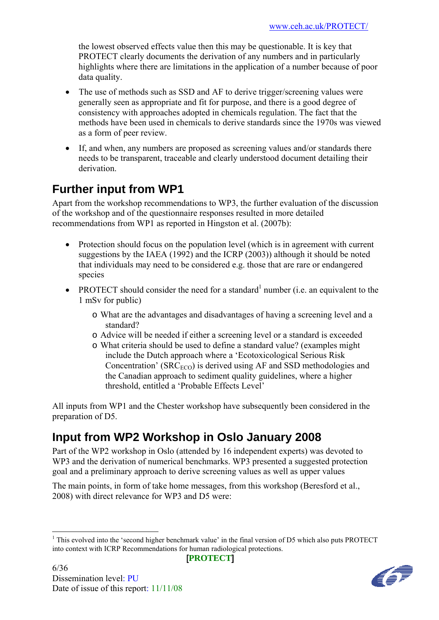the lowest observed effects value then this may be questionable. It is key that PROTECT clearly documents the derivation of any numbers and in particularly highlights where there are limitations in the application of a number because of poor data quality.

- The use of methods such as SSD and AF to derive trigger/screening values were generally seen as appropriate and fit for purpose, and there is a good degree of consistency with approaches adopted in chemicals regulation. The fact that the methods have been used in chemicals to derive standards since the 1970s was viewed as a form of peer review.
- If, and when, any numbers are proposed as screening values and/or standards there needs to be transparent, traceable and clearly understood document detailing their derivation.

# **Further input from WP1**

Apart from the workshop recommendations to WP3, the further evaluation of the discussion of the workshop and of the questionnaire responses resulted in more detailed recommendations from WP1 as reported in Hingston et al. (2007b):

- Protection should focus on the population level (which is in agreement with current suggestions by the IAEA (1992) and the ICRP (2003)) although it should be noted that individuals may need to be considered e.g. those that are rare or endangered species
- PROTECT should consider the need for a standard<sup>1</sup> number (i.e. an equivalent to the 1 mSv for public)
	- o What are the advantages and disadvantages of having a screening level and a standard?
	- o Advice will be needed if either a screening level or a standard is exceeded
	- o What criteria should be used to define a standard value? (examples might include the Dutch approach where a 'Ecotoxicological Serious Risk Concentration' ( $SRC<sub>ECO</sub>$ ) is derived using AF and SSD methodologies and the Canadian approach to sediment quality guidelines, where a higher threshold, entitled a 'Probable Effects Level'

All inputs from WP1 and the Chester workshop have subsequently been considered in the preparation of D5.

# **Input from WP2 Workshop in Oslo January 2008**

Part of the WP2 workshop in Oslo (attended by 16 independent experts) was devoted to WP3 and the derivation of numerical benchmarks. WP3 presented a suggested protection goal and a preliminary approach to derive screening values as well as upper values

The main points, in form of take home messages, from this workshop (Beresford et al., 2008) with direct relevance for WP3 and D5 were:



<sup>&</sup>lt;u>.</u> <sup>1</sup> This evolved into the 'second higher benchmark value' in the final version of D5 which also puts PROTECT into context with ICRP Recommendations for human radiological protections.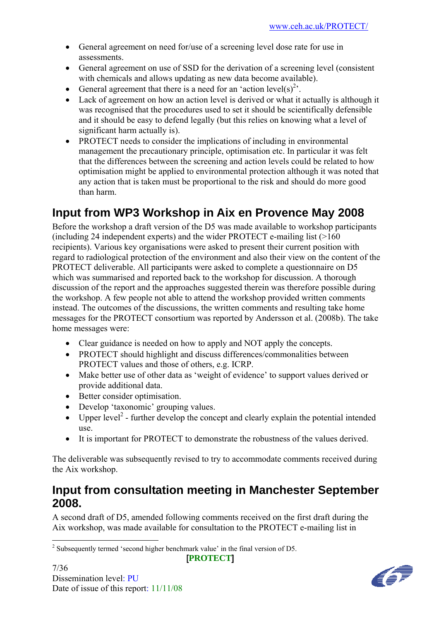- General agreement on need for/use of a screening level dose rate for use in assessments.
- General agreement on use of SSD for the derivation of a screening level (consistent with chemicals and allows updating as new data become available).
- General agreement that there is a need for an 'action level(s)<sup>2</sup>.
- Lack of agreement on how an action level is derived or what it actually is although it was recognised that the procedures used to set it should be scientifically defensible and it should be easy to defend legally (but this relies on knowing what a level of significant harm actually is).
- PROTECT needs to consider the implications of including in environmental management the precautionary principle, optimisation etc. In particular it was felt that the differences between the screening and action levels could be related to how optimisation might be applied to environmental protection although it was noted that any action that is taken must be proportional to the risk and should do more good than harm.

# **Input from WP3 Workshop in Aix en Provence May 2008**

Before the workshop a draft version of the D5 was made available to workshop participants (including 24 independent experts) and the wider PROTECT e-mailing list (>160 recipients). Various key organisations were asked to present their current position with regard to radiological protection of the environment and also their view on the content of the PROTECT deliverable. All participants were asked to complete a questionnaire on D5 which was summarised and reported back to the workshop for discussion. A thorough discussion of the report and the approaches suggested therein was therefore possible during the workshop. A few people not able to attend the workshop provided written comments instead. The outcomes of the discussions, the written comments and resulting take home messages for the PROTECT consortium was reported by Andersson et al. (2008b). The take home messages were:

- Clear guidance is needed on how to apply and NOT apply the concepts.
- PROTECT should highlight and discuss differences/commonalities between PROTECT values and those of others, e.g. ICRP.
- Make better use of other data as 'weight of evidence' to support values derived or provide additional data.
- Better consider optimisation.
- Develop 'taxonomic' grouping values.
- $\bullet$  Upper level<sup>2</sup> further develop the concept and clearly explain the potential intended use.
- It is important for PROTECT to demonstrate the robustness of the values derived.

The deliverable was subsequently revised to try to accommodate comments received during the Aix workshop.

### **Input from consultation meeting in Manchester September 2008.**

A second draft of D5, amended following comments received on the first draft during the Aix workshop, was made available for consultation to the PROTECT e-mailing list in



<sup>&</sup>lt;sup>2</sup> Subsequently termed 'second higher benchmark value' in the final version of D5.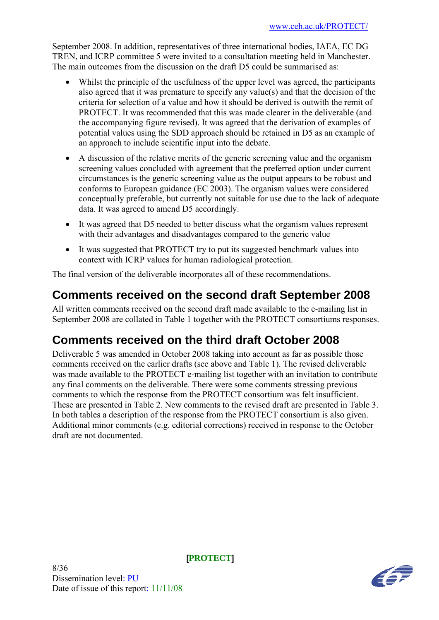September 2008. In addition, representatives of three international bodies, IAEA, EC DG TREN, and ICRP committee 5 were invited to a consultation meeting held in Manchester. The main outcomes from the discussion on the draft D5 could be summarised as:

- Whilst the principle of the usefulness of the upper level was agreed, the participants also agreed that it was premature to specify any value(s) and that the decision of the criteria for selection of a value and how it should be derived is outwith the remit of PROTECT. It was recommended that this was made clearer in the deliverable (and the accompanying figure revised). It was agreed that the derivation of examples of potential values using the SDD approach should be retained in D5 as an example of an approach to include scientific input into the debate.
- A discussion of the relative merits of the generic screening value and the organism screening values concluded with agreement that the preferred option under current circumstances is the generic screening value as the output appears to be robust and conforms to European guidance (EC 2003). The organism values were considered conceptually preferable, but currently not suitable for use due to the lack of adequate data. It was agreed to amend D5 accordingly.
- It was agreed that D5 needed to better discuss what the organism values represent with their advantages and disadvantages compared to the generic value
- It was suggested that PROTECT try to put its suggested benchmark values into context with ICRP values for human radiological protection.

The final version of the deliverable incorporates all of these recommendations.

# **Comments received on the second draft September 2008**

All written comments received on the second draft made available to the e-mailing list in September 2008 are collated in Table 1 together with the PROTECT consortiums responses.

# **Comments received on the third draft October 2008**

Deliverable 5 was amended in October 2008 taking into account as far as possible those comments received on the earlier drafts (see above and Table 1). The revised deliverable was made available to the PROTECT e-mailing list together with an invitation to contribute any final comments on the deliverable. There were some comments stressing previous comments to which the response from the PROTECT consortium was felt insufficient. These are presented in Table 2. New comments to the revised draft are presented in Table 3. In both tables a description of the response from the PROTECT consortium is also given. Additional minor comments (e.g. editorial corrections) received in response to the October draft are not documented.

8/36 Dissemination level: PU Date of issue of this report:  $11/11/08$ 

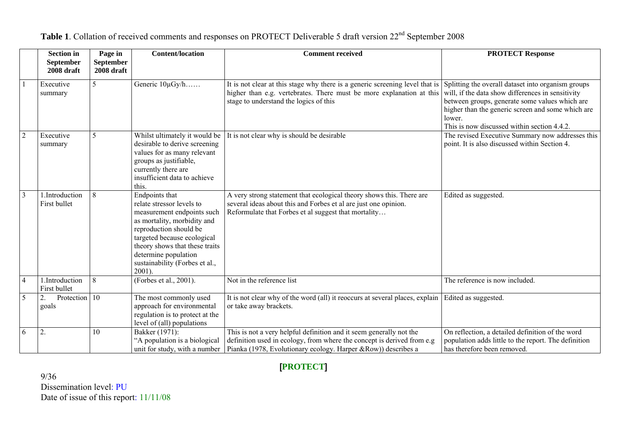|                | <b>Section in</b><br>September | Page in<br><b>September</b> | <b>Content/location</b>                                                                                                                                                                                                                                                 | <b>Comment received</b>                                                                                                                                                                                                                           | <b>PROTECT Response</b>                                                                                                                                                                                           |
|----------------|--------------------------------|-----------------------------|-------------------------------------------------------------------------------------------------------------------------------------------------------------------------------------------------------------------------------------------------------------------------|---------------------------------------------------------------------------------------------------------------------------------------------------------------------------------------------------------------------------------------------------|-------------------------------------------------------------------------------------------------------------------------------------------------------------------------------------------------------------------|
|                | 2008 draft                     | 2008 draft                  |                                                                                                                                                                                                                                                                         |                                                                                                                                                                                                                                                   |                                                                                                                                                                                                                   |
|                | Executive<br>summary           |                             | Generic 10µGy/h                                                                                                                                                                                                                                                         | It is not clear at this stage why there is a generic screening level that is Splitting the overall dataset into organism groups<br>higher than e.g. vertebrates. There must be more explanation at this<br>stage to understand the logics of this | will, if the data show differences in sensitivity<br>between groups, generate some values which are<br>higher than the generic screen and some which are<br>lower.<br>This is now discussed within section 4.4.2. |
| $\overline{2}$ | Executive<br>summary           | 5                           | Whilst ultimately it would be<br>desirable to derive screening<br>values for as many relevant<br>groups as justifiable,<br>currently there are<br>insufficient data to achieve<br>this.                                                                                 | It is not clear why is should be desirable                                                                                                                                                                                                        | The revised Executive Summary now addresses this<br>point. It is also discussed within Section 4.                                                                                                                 |
| $\overline{3}$ | 1.Introduction<br>First bullet | 8                           | Endpoints that<br>relate stressor levels to<br>measurement endpoints such<br>as mortality, morbidity and<br>reproduction should be<br>targeted because ecological<br>theory shows that these traits<br>determine population<br>sustainability (Forbes et al.,<br>2001). | A very strong statement that ecological theory shows this. There are<br>several ideas about this and Forbes et al are just one opinion.<br>Reformulate that Forbes et al suggest that mortality                                                   | Edited as suggested.                                                                                                                                                                                              |
| $\overline{4}$ | 1.Introduction<br>First bullet | 8                           | (Forbes et al., 2001).                                                                                                                                                                                                                                                  | Not in the reference list                                                                                                                                                                                                                         | The reference is now included.                                                                                                                                                                                    |
| 5              | Protection 10<br>2.<br>goals   |                             | The most commonly used<br>approach for environmental<br>regulation is to protect at the<br>level of (all) populations                                                                                                                                                   | It is not clear why of the word (all) it reoccurs at several places, explain   Edited as suggested.<br>or take away brackets.                                                                                                                     |                                                                                                                                                                                                                   |
| 6              | 2.                             | 10                          | Bakker (1971):<br>"A population is a biological<br>unit for study, with a number                                                                                                                                                                                        | This is not a very helpful definition and it seem generally not the<br>definition used in ecology, from where the concept is derived from e.g<br>Pianka (1978, Evolutionary ecology. Harper &Row)) describes a                                    | On reflection, a detailed definition of the word<br>population adds little to the report. The definition<br>has therefore been removed.                                                                           |

Table 1. Collation of received comments and responses on PROTECT Deliverable 5 draft version 22<sup>nd</sup> September 2008

### [**PROTECT**]

9/36 Dissemination level: PU Date of issue of this report: 11/11/08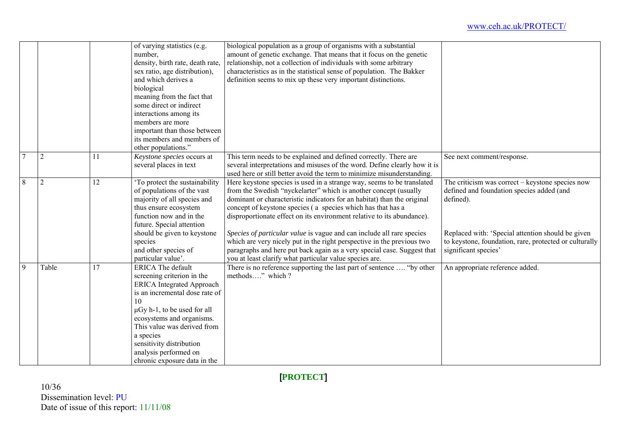|                |                |                 | of varying statistics (e.g.      | biological population as a group of organisms with a substantial          |                                                        |
|----------------|----------------|-----------------|----------------------------------|---------------------------------------------------------------------------|--------------------------------------------------------|
|                |                |                 | number,                          | amount of genetic exchange. That means that it focus on the genetic       |                                                        |
|                |                |                 | density, birth rate, death rate, | relationship, not a collection of individuals with some arbitrary         |                                                        |
|                |                |                 | sex ratio, age distribution),    | characteristics as in the statistical sense of population. The Bakker     |                                                        |
|                |                |                 |                                  |                                                                           |                                                        |
|                |                |                 | and which derives a              | definition seems to mix up these very important distinctions.             |                                                        |
|                |                |                 | biological                       |                                                                           |                                                        |
|                |                |                 | meaning from the fact that       |                                                                           |                                                        |
|                |                |                 | some direct or indirect          |                                                                           |                                                        |
|                |                |                 | interactions among its           |                                                                           |                                                        |
|                |                |                 | members are more                 |                                                                           |                                                        |
|                |                |                 | important than those between     |                                                                           |                                                        |
|                |                |                 | its members and members of       |                                                                           |                                                        |
|                |                |                 | other populations."              |                                                                           |                                                        |
| $\overline{7}$ | $\overline{2}$ | 11              | Keystone species occurs at       | This term needs to be explained and defined correctly. There are          | See next comment/response.                             |
|                |                |                 | several places in text           | several interpretations and misuses of the word. Define clearly how it is |                                                        |
|                |                |                 |                                  | used here or still better avoid the term to minimize misunderstanding.    |                                                        |
| $\overline{8}$ | $\overline{2}$ | $\overline{12}$ | To protect the sustainability    | Here keystone species is used in a strange way, seems to be translated    | The criticism was correct – keystone species now       |
|                |                |                 | of populations of the vast       | from the Swedish "nyckelarter" which is another concept (usually          | defined and foundation species added (and              |
|                |                |                 | majority of all species and      | dominant or characteristic indicators for an habitat) than the original   | defined).                                              |
|                |                |                 | thus ensure ecosystem            | concept of keystone species (a species which has that has a               |                                                        |
|                |                |                 | function now and in the          | disproportionate effect on its environment relative to its abundance).    |                                                        |
|                |                |                 | future. Special attention        |                                                                           |                                                        |
|                |                |                 | should be given to keystone      | Species of particular value is vague and can include all rare species     | Replaced with: 'Special attention should be given      |
|                |                |                 | species                          | which are very nicely put in the right perspective in the previous two    | to keystone, foundation, rare, protected or culturally |
|                |                |                 | and other species of             | paragraphs and here put back again as a very special case. Suggest that   | significant species'                                   |
|                |                |                 | particular value'.               | you at least clarify what particular value species are.                   |                                                        |
| 9              | Table          | 17              | <b>ERICA</b> The default         | There is no reference supporting the last part of sentence  "by other     | An appropriate reference added.                        |
|                |                |                 | screening criterion in the       | methods" which ?                                                          |                                                        |
|                |                |                 | <b>ERICA</b> Integrated Approach |                                                                           |                                                        |
|                |                |                 | is an incremental dose rate of   |                                                                           |                                                        |
|                |                |                 | 10                               |                                                                           |                                                        |
|                |                |                 | $\mu$ Gy h-1, to be used for all |                                                                           |                                                        |
|                |                |                 | ecosystems and organisms.        |                                                                           |                                                        |
|                |                |                 | This value was derived from      |                                                                           |                                                        |
|                |                |                 | a species                        |                                                                           |                                                        |
|                |                |                 | sensitivity distribution         |                                                                           |                                                        |
|                |                |                 | analysis performed on            |                                                                           |                                                        |
|                |                |                 | chronic exposure data in the     |                                                                           |                                                        |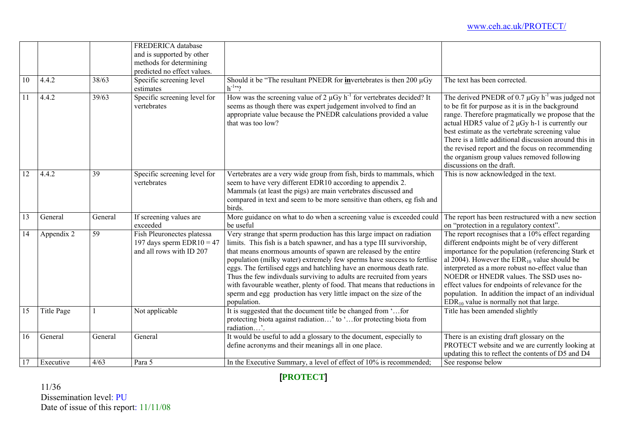|                 |            |         | FREDERICA database<br>and is supported by other<br>methods for determining            |                                                                                                                                                                                                                                                                                                                                                                                                                                                                                                                                                                                                             |                                                                                                                                                                                                                                                                                                                                                                                                                                                                                 |
|-----------------|------------|---------|---------------------------------------------------------------------------------------|-------------------------------------------------------------------------------------------------------------------------------------------------------------------------------------------------------------------------------------------------------------------------------------------------------------------------------------------------------------------------------------------------------------------------------------------------------------------------------------------------------------------------------------------------------------------------------------------------------------|---------------------------------------------------------------------------------------------------------------------------------------------------------------------------------------------------------------------------------------------------------------------------------------------------------------------------------------------------------------------------------------------------------------------------------------------------------------------------------|
|                 |            |         | predicted no effect values.                                                           |                                                                                                                                                                                                                                                                                                                                                                                                                                                                                                                                                                                                             |                                                                                                                                                                                                                                                                                                                                                                                                                                                                                 |
| $\overline{10}$ | 4.4.2      | 38/63   | Specific screening level<br>estimates                                                 | Should it be "The resultant PNEDR for invertebrates is then 200 $\mu$ Gy<br>$h^{-1}$ <sup>2</sup> ?                                                                                                                                                                                                                                                                                                                                                                                                                                                                                                         | The text has been corrected.                                                                                                                                                                                                                                                                                                                                                                                                                                                    |
| 11              | 4.4.2      | 39/63   | Specific screening level for<br>vertebrates                                           | How was the screening value of 2 $\mu$ Gy h <sup>-1</sup> for vertebrates decided? It<br>seems as though there was expert judgement involved to find an<br>appropriate value because the PNEDR calculations provided a value<br>that was too low?                                                                                                                                                                                                                                                                                                                                                           | The derived PNEDR of 0.7 $\mu$ Gy h <sup>-1</sup> was judged not<br>to be fit for purpose as it is in the background<br>range. Therefore pragmatically we propose that the<br>actual HDR5 value of $2 \mu Gy$ h-1 is currently our<br>best estimate as the vertebrate screening value<br>There is a little additional discussion around this in<br>the revised report and the focus on recommending<br>the organism group values removed following<br>discussions on the draft. |
| 12              | 4.4.2      | 39      | Specific screening level for<br>vertebrates                                           | Vertebrates are a very wide group from fish, birds to mammals, which<br>seem to have very different EDR10 according to appendix 2.<br>Mammals (at least the pigs) are main vertebrates discussed and<br>compared in text and seem to be more sensitive than others, eg fish and<br>birds.                                                                                                                                                                                                                                                                                                                   | This is now acknowledged in the text.                                                                                                                                                                                                                                                                                                                                                                                                                                           |
| 13              | General    | General | If screening values are<br>exceeded                                                   | More guidance on what to do when a screening value is exceeded could<br>be useful                                                                                                                                                                                                                                                                                                                                                                                                                                                                                                                           | The report has been restructured with a new section<br>on "protection in a regulatory context".                                                                                                                                                                                                                                                                                                                                                                                 |
| 14              | Appendix 2 | 59      | Fish Pleuronectes platessa<br>197 days sperm EDR10 = $47$<br>and all rows with ID 207 | Very strange that sperm production has this large impact on radiation<br>limits. This fish is a batch spawner, and has a type III survivorship,<br>that means enormous amounts of spawn are released by the entire<br>population (milky water) extremely few sperms have success to fertlise<br>eggs. The fertilised eggs and hatchling have an enormous death rate.<br>Thus the few indivduals surviving to adults are recruited from years<br>with favourable weather, plenty of food. That means that reductions in<br>sperm and egg production has very little impact on the size of the<br>population. | The report recognises that a 10% effect regarding<br>different endpoints might be of very different<br>importance for the population (referencing Stark et<br>al 2004). However the $EDR_{10}$ value should be<br>interpreted as a more robust no-effect value than<br>NOEDR or HNEDR values. The SSD uses no-<br>effect values for endpoints of relevance for the<br>population. In addition the impact of an individual<br>$EDR_{10}$ value is normally not that large.       |
| 15              | Title Page |         | Not applicable                                                                        | It is suggested that the document title be changed from 'for<br>protecting biota against radiation' to 'for protecting biota from<br>radiation'.                                                                                                                                                                                                                                                                                                                                                                                                                                                            | Title has been amended slightly                                                                                                                                                                                                                                                                                                                                                                                                                                                 |
| 16              | General    | General | General                                                                               | It would be useful to add a glossary to the document, especially to<br>define acronyms and their meanings all in one place.                                                                                                                                                                                                                                                                                                                                                                                                                                                                                 | There is an existing draft glossary on the<br>PROTECT website and we are currently looking at<br>updating this to reflect the contents of D5 and D4                                                                                                                                                                                                                                                                                                                             |
| 17              | Executive  | 4/63    | Para 5                                                                                | In the Executive Summary, a level of effect of 10% is recommended:                                                                                                                                                                                                                                                                                                                                                                                                                                                                                                                                          | See response below                                                                                                                                                                                                                                                                                                                                                                                                                                                              |

11/36 Dissemination level: PU Date of issue of this report: 11/11/08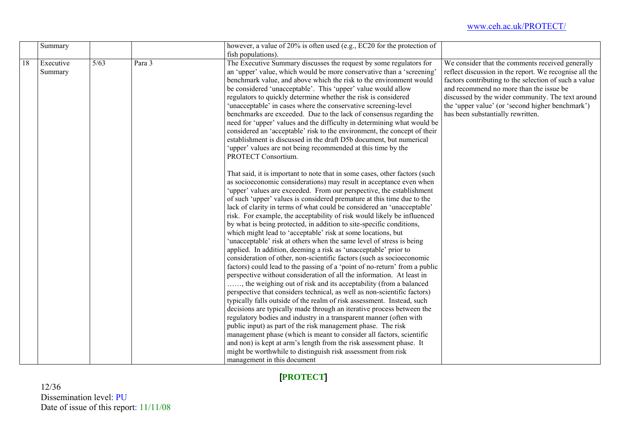|    | Summary   |        |        | however, a value of 20% is often used (e.g., EC20 for the protection of    |                                                        |
|----|-----------|--------|--------|----------------------------------------------------------------------------|--------------------------------------------------------|
|    |           |        |        | fish populations).                                                         |                                                        |
| 18 | Executive | $5/63$ | Para 3 | The Executive Summary discusses the request by some regulators for         | We consider that the comments received generally       |
|    | Summary   |        |        | an 'upper' value, which would be more conservative than a 'screening'      | reflect discussion in the report. We recognise all the |
|    |           |        |        | benchmark value, and above which the risk to the environment would         | factors contributing to the selection of such a value  |
|    |           |        |        | be considered 'unacceptable'. This 'upper' value would allow               | and recommend no more than the issue be                |
|    |           |        |        | regulators to quickly determine whether the risk is considered             | discussed by the wider community. The text around      |
|    |           |        |        | 'unacceptable' in cases where the conservative screening-level             | the 'upper value' (or 'second higher benchmark')       |
|    |           |        |        | benchmarks are exceeded. Due to the lack of consensus regarding the        | has been substantially rewritten.                      |
|    |           |        |        | need for 'upper' values and the difficulty in determining what would be    |                                                        |
|    |           |        |        | considered an 'acceptable' risk to the environment, the concept of their   |                                                        |
|    |           |        |        | establishment is discussed in the draft D5b document, but numerical        |                                                        |
|    |           |        |        | 'upper' values are not being recommended at this time by the               |                                                        |
|    |           |        |        | PROTECT Consortium.                                                        |                                                        |
|    |           |        |        | That said, it is important to note that in some cases, other factors (such |                                                        |
|    |           |        |        | as socioeconomic considerations) may result in acceptance even when        |                                                        |
|    |           |        |        | 'upper' values are exceeded. From our perspective, the establishment       |                                                        |
|    |           |        |        | of such 'upper' values is considered premature at this time due to the     |                                                        |
|    |           |        |        | lack of clarity in terms of what could be considered an 'unacceptable'     |                                                        |
|    |           |        |        | risk. For example, the acceptability of risk would likely be influenced    |                                                        |
|    |           |        |        | by what is being protected, in addition to site-specific conditions,       |                                                        |
|    |           |        |        | which might lead to 'acceptable' risk at some locations, but               |                                                        |
|    |           |        |        | 'unacceptable' risk at others when the same level of stress is being       |                                                        |
|    |           |        |        | applied. In addition, deeming a risk as 'unacceptable' prior to            |                                                        |
|    |           |        |        | consideration of other, non-scientific factors (such as socioeconomic      |                                                        |
|    |           |        |        | factors) could lead to the passing of a 'point of no-return' from a public |                                                        |
|    |           |        |        | perspective without consideration of all the information. At least in      |                                                        |
|    |           |        |        | , the weighing out of risk and its acceptability (from a balanced          |                                                        |
|    |           |        |        | perspective that considers technical, as well as non-scientific factors)   |                                                        |
|    |           |        |        | typically falls outside of the realm of risk assessment. Instead, such     |                                                        |
|    |           |        |        | decisions are typically made through an iterative process between the      |                                                        |
|    |           |        |        | regulatory bodies and industry in a transparent manner (often with         |                                                        |
|    |           |        |        | public input) as part of the risk management phase. The risk               |                                                        |
|    |           |        |        | management phase (which is meant to consider all factors, scientific       |                                                        |
|    |           |        |        | and non) is kept at arm's length from the risk assessment phase. It        |                                                        |
|    |           |        |        | might be worthwhile to distinguish risk assessment from risk               |                                                        |
|    |           |        |        | management in this document                                                |                                                        |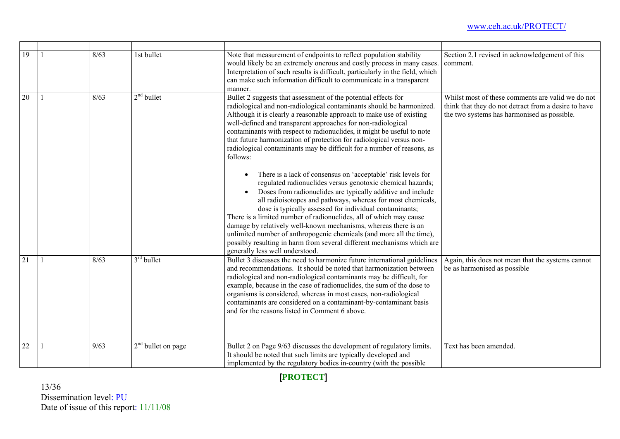| 19 | 8/63 | 1st bullet           | Note that measurement of endpoints to reflect population stability<br>would likely be an extremely onerous and costly process in many cases.<br>Interpretation of such results is difficult, particularly in the field, which<br>can make such information difficult to communicate in a transparent<br>manner.                                                                                                                                                                                                                                                                                                                                                                                                                                                                                                                                                                                                                                                                                                                                                                                                                                                             | Section 2.1 revised in acknowledgement of this<br>comment.                                                                                               |
|----|------|----------------------|-----------------------------------------------------------------------------------------------------------------------------------------------------------------------------------------------------------------------------------------------------------------------------------------------------------------------------------------------------------------------------------------------------------------------------------------------------------------------------------------------------------------------------------------------------------------------------------------------------------------------------------------------------------------------------------------------------------------------------------------------------------------------------------------------------------------------------------------------------------------------------------------------------------------------------------------------------------------------------------------------------------------------------------------------------------------------------------------------------------------------------------------------------------------------------|----------------------------------------------------------------------------------------------------------------------------------------------------------|
| 20 | 8/63 | $2nd$ bullet         | Bullet 2 suggests that assessment of the potential effects for<br>radiological and non-radiological contaminants should be harmonized.<br>Although it is clearly a reasonable approach to make use of existing<br>well-defined and transparent approaches for non-radiological<br>contaminants with respect to radionuclides, it might be useful to note<br>that future harmonization of protection for radiological versus non-<br>radiological contaminants may be difficult for a number of reasons, as<br>follows:<br>There is a lack of consensus on 'acceptable' risk levels for<br>regulated radionuclides versus genotoxic chemical hazards;<br>Doses from radionuclides are typically additive and include<br>all radioisotopes and pathways, whereas for most chemicals,<br>dose is typically assessed for individual contaminants;<br>There is a limited number of radionuclides, all of which may cause<br>damage by relatively well-known mechanisms, whereas there is an<br>unlimited number of anthropogenic chemicals (and more all the time),<br>possibly resulting in harm from several different mechanisms which are<br>generally less well understood. | Whilst most of these comments are valid we do not<br>think that they do not detract from a desire to have<br>the two systems has harmonised as possible. |
| 21 | 8/63 | $3rd$ bullet         | Bullet 3 discusses the need to harmonize future international guidelines<br>and recommendations. It should be noted that harmonization between<br>radiological and non-radiological contaminants may be difficult, for<br>example, because in the case of radionuclides, the sum of the dose to<br>organisms is considered, whereas in most cases, non-radiological<br>contaminants are considered on a contaminant-by-contaminant basis<br>and for the reasons listed in Comment 6 above.                                                                                                                                                                                                                                                                                                                                                                                                                                                                                                                                                                                                                                                                                  | Again, this does not mean that the systems cannot<br>be as harmonised as possible                                                                        |
| 22 | 9/63 | $2nd$ bullet on page | Bullet 2 on Page 9/63 discusses the development of regulatory limits.<br>It should be noted that such limits are typically developed and<br>implemented by the regulatory bodies in-country (with the possible                                                                                                                                                                                                                                                                                                                                                                                                                                                                                                                                                                                                                                                                                                                                                                                                                                                                                                                                                              | Text has been amended.                                                                                                                                   |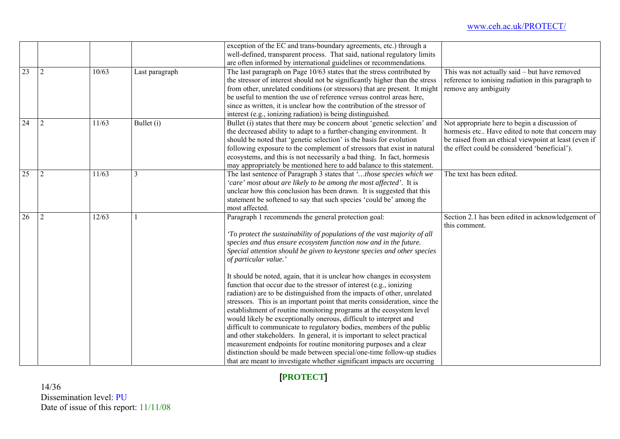|                 |   |       |                | exception of the EC and trans-boundary agreements, etc.) through a                                                                             |                                                       |
|-----------------|---|-------|----------------|------------------------------------------------------------------------------------------------------------------------------------------------|-------------------------------------------------------|
|                 |   |       |                | well-defined, transparent process. That said, national regulatory limits<br>are often informed by international guidelines or recommendations. |                                                       |
| $\overline{23}$ | 2 | 10/63 | Last paragraph | The last paragraph on Page 10/63 states that the stress contributed by                                                                         | This was not actually said – but have removed         |
|                 |   |       |                | the stressor of interest should not be significantly higher than the stress                                                                    | reference to ionising radiation in this paragraph to  |
|                 |   |       |                | from other, unrelated conditions (or stressors) that are present. It might                                                                     | remove any ambiguity                                  |
|                 |   |       |                | be useful to mention the use of reference versus control areas here,                                                                           |                                                       |
|                 |   |       |                | since as written, it is unclear how the contribution of the stressor of                                                                        |                                                       |
|                 |   |       |                | interest (e.g., ionizing radiation) is being distinguished.                                                                                    |                                                       |
| $\overline{24}$ | 2 | 11/63 | Bullet (i)     | Bullet (i) states that there may be concern about 'genetic selection' and                                                                      | Not appropriate here to begin a discussion of         |
|                 |   |       |                | the decreased ability to adapt to a further-changing environment. It                                                                           | hormesis etc Have edited to note that concern may     |
|                 |   |       |                | should be noted that 'genetic selection' is the basis for evolution                                                                            | be raised from an ethical viewpoint at least (even if |
|                 |   |       |                | following exposure to the complement of stressors that exist in natural                                                                        | the effect could be considered 'beneficial').         |
|                 |   |       |                | ecosystems, and this is not necessarily a bad thing. In fact, hormesis                                                                         |                                                       |
|                 |   |       |                | may appropriately be mentioned here to add balance to this statement.                                                                          |                                                       |
| 25              | 2 | 11/63 | 3              | The last sentence of Paragraph 3 states that 'those species which we                                                                           | The text has been edited.                             |
|                 |   |       |                | 'care' most about are likely to be among the most affected'. It is                                                                             |                                                       |
|                 |   |       |                | unclear how this conclusion has been drawn. It is suggested that this                                                                          |                                                       |
|                 |   |       |                | statement be softened to say that such species 'could be' among the<br>most affected.                                                          |                                                       |
| 26              | 2 | 12/63 |                | Paragraph 1 recommends the general protection goal:                                                                                            | Section 2.1 has been edited in acknowledgement of     |
|                 |   |       |                |                                                                                                                                                | this comment.                                         |
|                 |   |       |                | 'To protect the sustainability of populations of the vast majority of all                                                                      |                                                       |
|                 |   |       |                | species and thus ensure ecosystem function now and in the future.                                                                              |                                                       |
|                 |   |       |                | Special attention should be given to keystone species and other species                                                                        |                                                       |
|                 |   |       |                | of particular value.'                                                                                                                          |                                                       |
|                 |   |       |                | It should be noted, again, that it is unclear how changes in ecosystem                                                                         |                                                       |
|                 |   |       |                | function that occur due to the stressor of interest (e.g., ionizing                                                                            |                                                       |
|                 |   |       |                | radiation) are to be distinguished from the impacts of other, unrelated                                                                        |                                                       |
|                 |   |       |                | stressors. This is an important point that merits consideration, since the                                                                     |                                                       |
|                 |   |       |                | establishment of routine monitoring programs at the ecosystem level                                                                            |                                                       |
|                 |   |       |                | would likely be exceptionally onerous, difficult to interpret and                                                                              |                                                       |
|                 |   |       |                | difficult to communicate to regulatory bodies, members of the public                                                                           |                                                       |
|                 |   |       |                | and other stakeholders. In general, it is important to select practical<br>measurement endpoints for routine monitoring purposes and a clear   |                                                       |
|                 |   |       |                | distinction should be made between special/one-time follow-up studies                                                                          |                                                       |
|                 |   |       |                | that are meant to investigate whether significant impacts are occurring                                                                        |                                                       |
|                 |   |       |                |                                                                                                                                                |                                                       |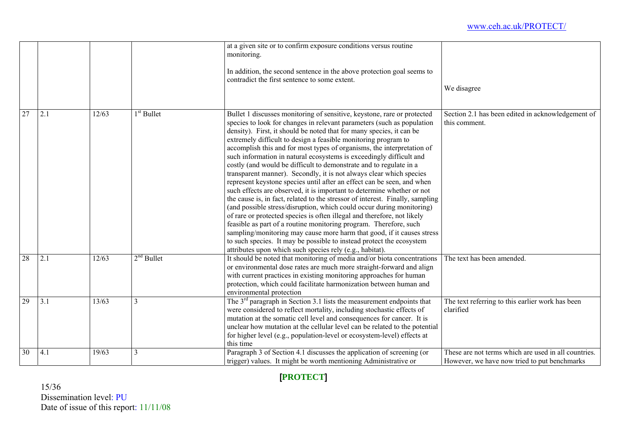|                 |     |       |              | at a given site or to confirm exposure conditions versus routine<br>monitoring.<br>In addition, the second sentence in the above protection goal seems to<br>contradict the first sentence to some extent.                                                                                                                                                                                                                                                                                                                                                                                                                                                                                                                                                                                                                                                                                                                                                                                                                                                                                                                                                                                                                                                            | We disagree                                                                                          |
|-----------------|-----|-------|--------------|-----------------------------------------------------------------------------------------------------------------------------------------------------------------------------------------------------------------------------------------------------------------------------------------------------------------------------------------------------------------------------------------------------------------------------------------------------------------------------------------------------------------------------------------------------------------------------------------------------------------------------------------------------------------------------------------------------------------------------------------------------------------------------------------------------------------------------------------------------------------------------------------------------------------------------------------------------------------------------------------------------------------------------------------------------------------------------------------------------------------------------------------------------------------------------------------------------------------------------------------------------------------------|------------------------------------------------------------------------------------------------------|
| $\overline{27}$ | 2.1 | 12/63 | $1st$ Bullet | Bullet 1 discusses monitoring of sensitive, keystone, rare or protected<br>species to look for changes in relevant parameters (such as population<br>density). First, it should be noted that for many species, it can be<br>extremely difficult to design a feasible monitoring program to<br>accomplish this and for most types of organisms, the interpretation of<br>such information in natural ecosystems is exceedingly difficult and<br>costly (and would be difficult to demonstrate and to regulate in a<br>transparent manner). Secondly, it is not always clear which species<br>represent keystone species until after an effect can be seen, and when<br>such effects are observed, it is important to determine whether or not<br>the cause is, in fact, related to the stressor of interest. Finally, sampling<br>(and possible stress/disruption, which could occur during monitoring)<br>of rare or protected species is often illegal and therefore, not likely<br>feasible as part of a routine monitoring program. Therefore, such<br>sampling/monitoring may cause more harm that good, if it causes stress<br>to such species. It may be possible to instead protect the ecosystem<br>attributes upon which such species rely (e.g., habitat). | Section 2.1 has been edited in acknowledgement of<br>this comment.                                   |
| 28              | 2.1 | 12/63 | $2nd$ Bullet | It should be noted that monitoring of media and/or biota concentrations<br>or environmental dose rates are much more straight-forward and align<br>with current practices in existing monitoring approaches for human<br>protection, which could facilitate harmonization between human and<br>environmental protection                                                                                                                                                                                                                                                                                                                                                                                                                                                                                                                                                                                                                                                                                                                                                                                                                                                                                                                                               | The text has been amended.                                                                           |
| $\overline{29}$ | 3.1 | 13/63 | 3            | The $3rd$ paragraph in Section 3.1 lists the measurement endpoints that<br>were considered to reflect mortality, including stochastic effects of<br>mutation at the somatic cell level and consequences for cancer. It is<br>unclear how mutation at the cellular level can be related to the potential<br>for higher level (e.g., population-level or ecosystem-level) effects at<br>this time                                                                                                                                                                                                                                                                                                                                                                                                                                                                                                                                                                                                                                                                                                                                                                                                                                                                       | The text referring to this earlier work has been<br>clarified                                        |
| 30              | 4.1 | 19/63 | 3            | Paragraph 3 of Section 4.1 discusses the application of screening (or<br>trigger) values. It might be worth mentioning Administrative or                                                                                                                                                                                                                                                                                                                                                                                                                                                                                                                                                                                                                                                                                                                                                                                                                                                                                                                                                                                                                                                                                                                              | These are not terms which are used in all countries.<br>However, we have now tried to put benchmarks |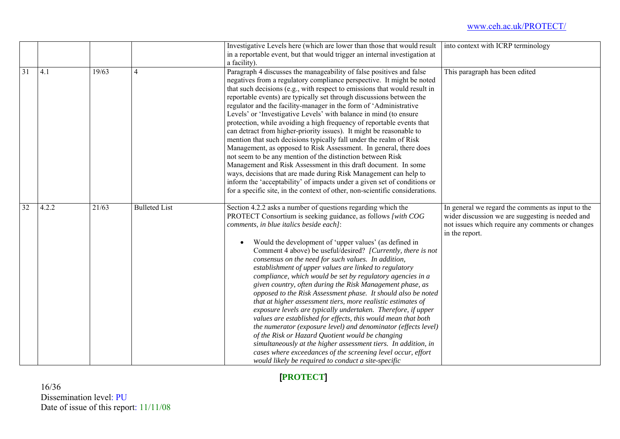|                 |       |       |                      | Investigative Levels here (which are lower than those that would result<br>in a reportable event, but that would trigger an internal investigation at<br>a facility).                                                                                                                                                                                                                                                                                                                                                                                                                                                                                                                                                                                                                                                                                                                                                                                                                                                                                                                                                                        | into context with ICRP terminology                                                                                                                                          |
|-----------------|-------|-------|----------------------|----------------------------------------------------------------------------------------------------------------------------------------------------------------------------------------------------------------------------------------------------------------------------------------------------------------------------------------------------------------------------------------------------------------------------------------------------------------------------------------------------------------------------------------------------------------------------------------------------------------------------------------------------------------------------------------------------------------------------------------------------------------------------------------------------------------------------------------------------------------------------------------------------------------------------------------------------------------------------------------------------------------------------------------------------------------------------------------------------------------------------------------------|-----------------------------------------------------------------------------------------------------------------------------------------------------------------------------|
| $\overline{31}$ | 4.1   | 19/63 | 4                    | Paragraph 4 discusses the manageability of false positives and false<br>negatives from a regulatory compliance perspective. It might be noted<br>that such decisions (e.g., with respect to emissions that would result in<br>reportable events) are typically set through discussions between the<br>regulator and the facility-manager in the form of 'Administrative<br>Levels' or 'Investigative Levels' with balance in mind (to ensure<br>protection, while avoiding a high frequency of reportable events that<br>can detract from higher-priority issues). It might be reasonable to<br>mention that such decisions typically fall under the realm of Risk<br>Management, as opposed to Risk Assessment. In general, there does<br>not seem to be any mention of the distinction between Risk<br>Management and Risk Assessment in this draft document. In some<br>ways, decisions that are made during Risk Management can help to<br>inform the 'acceptability' of impacts under a given set of conditions or<br>for a specific site, in the context of other, non-scientific considerations.                                      | This paragraph has been edited                                                                                                                                              |
| 32              | 4.2.2 | 21/63 | <b>Bulleted List</b> | Section 4.2.2 asks a number of questions regarding which the<br>PROTECT Consortium is seeking guidance, as follows [with COG<br>comments, in blue italics beside each]:<br>Would the development of 'upper values' (as defined in<br>$\bullet$<br>Comment 4 above) be useful/desired? [Currently, there is not<br>consensus on the need for such values. In addition,<br>establishment of upper values are linked to regulatory<br>compliance, which would be set by regulatory agencies in a<br>given country, often during the Risk Management phase, as<br>opposed to the Risk Assessment phase. It should also be noted<br>that at higher assessment tiers, more realistic estimates of<br>exposure levels are typically undertaken. Therefore, if upper<br>values are established for effects, this would mean that both<br>the numerator (exposure level) and denominator (effects level)<br>of the Risk or Hazard Quotient would be changing<br>simultaneously at the higher assessment tiers. In addition, in<br>cases where exceedances of the screening level occur, effort<br>would likely be required to conduct a site-specific | In general we regard the comments as input to the<br>wider discussion we are suggesting is needed and<br>not issues which require any comments or changes<br>in the report. |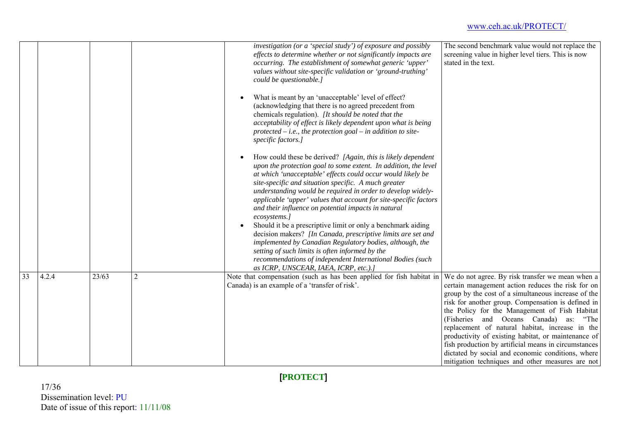|    |       |       |                | investigation (or a 'special study') of exposure and possibly<br>effects to determine whether or not significantly impacts are<br>occurring. The establishment of somewhat generic 'upper'<br>values without site-specific validation or 'ground-truthing'<br>could be questionable.]<br>What is meant by an 'unacceptable' level of effect?<br>(acknowledging that there is no agreed precedent from<br>chemicals regulation). [It should be noted that the<br>acceptability of effect is likely dependent upon what is being<br>protected $-$ <i>i.e.</i> , the protection goal $-$ in addition to site-<br>specific factors.]<br>How could these be derived? [Again, this is likely dependent<br>upon the protection goal to some extent. In addition, the level<br>at which 'unacceptable' effects could occur would likely be<br>site-specific and situation specific. A much greater<br>understanding would be required in order to develop widely-<br>applicable 'upper' values that account for site-specific factors<br>and their influence on potential impacts in natural<br>ecosystems.]<br>Should it be a prescriptive limit or only a benchmark aiding<br>$\bullet$<br>decision makers? [In Canada, prescriptive limits are set and<br>implemented by Canadian Regulatory bodies, although, the<br>setting of such limits is often informed by the<br>recommendations of independent International Bodies (such<br>as ICRP, UNSCEAR, IAEA, ICRP, etc.).] | The second benchmark value would not replace the<br>screening value in higher level tiers. This is now<br>stated in the text.                                                                                                                                                                                                                                                                                                                                                                                                                                                               |
|----|-------|-------|----------------|------------------------------------------------------------------------------------------------------------------------------------------------------------------------------------------------------------------------------------------------------------------------------------------------------------------------------------------------------------------------------------------------------------------------------------------------------------------------------------------------------------------------------------------------------------------------------------------------------------------------------------------------------------------------------------------------------------------------------------------------------------------------------------------------------------------------------------------------------------------------------------------------------------------------------------------------------------------------------------------------------------------------------------------------------------------------------------------------------------------------------------------------------------------------------------------------------------------------------------------------------------------------------------------------------------------------------------------------------------------------------------------------------------------------------------------------------------------------|---------------------------------------------------------------------------------------------------------------------------------------------------------------------------------------------------------------------------------------------------------------------------------------------------------------------------------------------------------------------------------------------------------------------------------------------------------------------------------------------------------------------------------------------------------------------------------------------|
| 33 | 4.2.4 | 23/63 | $\overline{2}$ | Note that compensation (such as has been applied for fish habitat in<br>Canada) is an example of a 'transfer of risk'.                                                                                                                                                                                                                                                                                                                                                                                                                                                                                                                                                                                                                                                                                                                                                                                                                                                                                                                                                                                                                                                                                                                                                                                                                                                                                                                                                 | We do not agree. By risk transfer we mean when a<br>certain management action reduces the risk for on<br>group by the cost of a simultaneous increase of the<br>risk for another group. Compensation is defined in<br>the Policy for the Management of Fish Habitat<br>(Fisheries and Oceans Canada)<br>as: "The<br>replacement of natural habitat, increase in the<br>productivity of existing habitat, or maintenance of<br>fish production by artificial means in circumstances<br>dictated by social and economic conditions, where<br>mitigation techniques and other measures are not |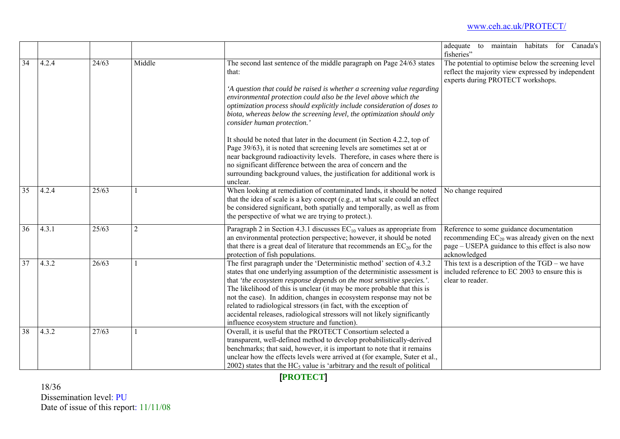|    |       |       |                |                                                                                                                                                                                                                                                                                                                                                                                                                                                                                                                                                                                 | for Canada's<br>habitats<br>adequate<br>to<br>maintain<br>fisheries"                                                                                                 |
|----|-------|-------|----------------|---------------------------------------------------------------------------------------------------------------------------------------------------------------------------------------------------------------------------------------------------------------------------------------------------------------------------------------------------------------------------------------------------------------------------------------------------------------------------------------------------------------------------------------------------------------------------------|----------------------------------------------------------------------------------------------------------------------------------------------------------------------|
| 34 | 4.2.4 | 24/63 | Middle         | The second last sentence of the middle paragraph on Page 24/63 states<br>that:<br>'A question that could be raised is whether a screening value regarding<br>environmental protection could also be the level above which the<br>optimization process should explicitly include consideration of doses to<br>biota, whereas below the screening level, the optimization should only<br>consider human protection.'                                                                                                                                                              | The potential to optimise below the screening level<br>reflect the majority view expressed by independent<br>experts during PROTECT workshops.                       |
|    |       |       |                | It should be noted that later in the document (in Section 4.2.2, top of<br>Page 39/63), it is noted that screening levels are sometimes set at or<br>near background radioactivity levels. Therefore, in cases where there is<br>no significant difference between the area of concern and the<br>surrounding background values, the justification for additional work is<br>unclear.                                                                                                                                                                                           |                                                                                                                                                                      |
| 35 | 4.2.4 | 25/63 |                | When looking at remediation of contaminated lands, it should be noted<br>that the idea of scale is a key concept (e.g., at what scale could an effect<br>be considered significant, both spatially and temporally, as well as from<br>the perspective of what we are trying to protect.).                                                                                                                                                                                                                                                                                       | No change required                                                                                                                                                   |
| 36 | 4.3.1 | 25/63 | $\overline{2}$ | Paragraph 2 in Section 4.3.1 discusses $EC_{10}$ values as appropriate from<br>an environmental protection perspective; however, it should be noted<br>that there is a great deal of literature that recommends an $EC_{20}$ for the<br>protection of fish populations.                                                                                                                                                                                                                                                                                                         | Reference to some guidance documentation<br>recommending $EC_{20}$ was already given on the next<br>page – USEPA guidance to this effect is also now<br>acknowledged |
| 37 | 4.3.2 | 26/63 |                | The first paragraph under the 'Deterministic method' section of 4.3.2<br>states that one underlying assumption of the deterministic assessment is<br>that 'the ecosystem response depends on the most sensitive species.'.<br>The likelihood of this is unclear (it may be more probable that this is<br>not the case). In addition, changes in ecosystem response may not be<br>related to radiological stressors (in fact, with the exception of<br>accidental releases, radiological stressors will not likely significantly<br>influence ecosystem structure and function). | This text is a description of the $TGD$ – we have<br>included reference to EC 2003 to ensure this is<br>clear to reader.                                             |
| 38 | 4.3.2 | 27/63 |                | Overall, it is useful that the PROTECT Consortium selected a<br>transparent, well-defined method to develop probabilistically-derived<br>benchmarks; that said, however, it is important to note that it remains<br>unclear how the effects levels were arrived at (for example, Suter et al.,<br>2002) states that the $HC_5$ value is 'arbitrary and the result of political                                                                                                                                                                                                  |                                                                                                                                                                      |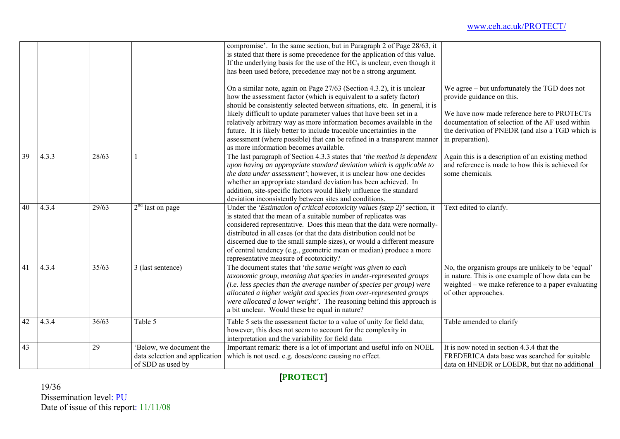|    |       |       |                                                                               | compromise'. In the same section, but in Paragraph 2 of Page 28/63, it<br>is stated that there is some precedence for the application of this value.<br>If the underlying basis for the use of the $HC5$ is unclear, even though it<br>has been used before, precedence may not be a strong argument.<br>On a similar note, again on Page 27/63 (Section 4.3.2), it is unclear<br>how the assessment factor (which is equivalent to a safety factor)<br>should be consistently selected between situations, etc. In general, it is | We agree – but unfortunately the TGD does not<br>provide guidance on this.                                                                                                            |
|----|-------|-------|-------------------------------------------------------------------------------|------------------------------------------------------------------------------------------------------------------------------------------------------------------------------------------------------------------------------------------------------------------------------------------------------------------------------------------------------------------------------------------------------------------------------------------------------------------------------------------------------------------------------------|---------------------------------------------------------------------------------------------------------------------------------------------------------------------------------------|
|    |       |       |                                                                               | likely difficult to update parameter values that have been set in a<br>relatively arbitrary way as more information becomes available in the<br>future. It is likely better to include traceable uncertainties in the<br>assessment (where possible) that can be refined in a transparent manner<br>as more information becomes available.                                                                                                                                                                                         | We have now made reference here to PROTECTs<br>documentation of selection of the AF used within<br>the derivation of PNEDR (and also a TGD which is<br>in preparation).               |
| 39 | 4.3.3 | 28/63 |                                                                               | The last paragraph of Section 4.3.3 states that 'the method is dependent<br>upon having an appropriate standard deviation which is applicable to<br>the data under assessment'; however, it is unclear how one decides<br>whether an appropriate standard deviation has been achieved. In<br>addition, site-specific factors would likely influence the standard<br>deviation inconsistently between sites and conditions.                                                                                                         | Again this is a description of an existing method<br>and reference is made to how this is achieved for<br>some chemicals.                                                             |
| 40 | 4.3.4 | 29/63 | $2nd$ last on page                                                            | Under the 'Estimation of critical ecotoxicity values (step 2)' section, it<br>is stated that the mean of a suitable number of replicates was<br>considered representative. Does this mean that the data were normally-<br>distributed in all cases (or that the data distribution could not be<br>discerned due to the small sample sizes), or would a different measure<br>of central tendency (e.g., geometric mean or median) produce a more<br>representative measure of ecotoxicity?                                          | Text edited to clarify.                                                                                                                                                               |
| 41 | 4.3.4 | 35/63 | 3 (last sentence)                                                             | The document states that 'the same weight was given to each<br>taxonomic group, meaning that species in under-represented groups<br>(i.e. less species than the average number of species per group) were<br>allocated a higher weight and species from over-represented groups<br>were allocated a lower weight'. The reasoning behind this approach is<br>a bit unclear. Would these be equal in nature?                                                                                                                         | No, the organism groups are unlikely to be 'equal'<br>in nature. This is one example of how data can be<br>weighted – we make reference to a paper evaluating<br>of other approaches. |
| 42 | 4.3.4 | 36/63 | Table 5                                                                       | Table 5 sets the assessment factor to a value of unity for field data;<br>however, this does not seem to account for the complexity in<br>interpretation and the variability for field data                                                                                                                                                                                                                                                                                                                                        | Table amended to clarify                                                                                                                                                              |
| 43 |       | 29    | Below, we document the<br>data selection and application<br>of SDD as used by | Important remark: there is a lot of important and useful info on NOEL<br>which is not used. e.g. doses/conc causing no effect.                                                                                                                                                                                                                                                                                                                                                                                                     | It is now noted in section 4.3.4 that the<br>FREDERICA data base was searched for suitable<br>data on HNEDR or LOEDR, but that no additional                                          |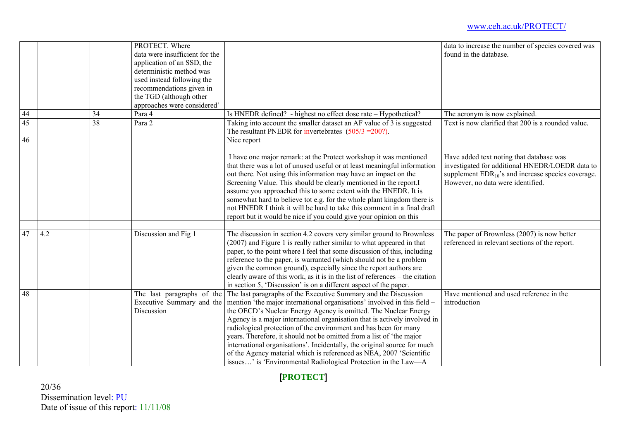|    | PROTECT. Where<br>data were insufficient for the<br>application of an SSD, the     |                                                         |                                                                                                                                                                                                                                                                                                                                                                                                                                                                                                                                                                                                                                                              | data to increase the number of species covered was<br>found in the database.                                                                                                                |
|----|------------------------------------------------------------------------------------|---------------------------------------------------------|--------------------------------------------------------------------------------------------------------------------------------------------------------------------------------------------------------------------------------------------------------------------------------------------------------------------------------------------------------------------------------------------------------------------------------------------------------------------------------------------------------------------------------------------------------------------------------------------------------------------------------------------------------------|---------------------------------------------------------------------------------------------------------------------------------------------------------------------------------------------|
|    | deterministic method was<br>used instead following the<br>recommendations given in |                                                         |                                                                                                                                                                                                                                                                                                                                                                                                                                                                                                                                                                                                                                                              |                                                                                                                                                                                             |
|    | the TGD (although other                                                            |                                                         |                                                                                                                                                                                                                                                                                                                                                                                                                                                                                                                                                                                                                                                              |                                                                                                                                                                                             |
|    | approaches were considered'                                                        |                                                         |                                                                                                                                                                                                                                                                                                                                                                                                                                                                                                                                                                                                                                                              |                                                                                                                                                                                             |
| 44 | 34<br>Para 4                                                                       |                                                         | Is HNEDR defined? - highest no effect dose rate - Hypothetical?                                                                                                                                                                                                                                                                                                                                                                                                                                                                                                                                                                                              | The acronym is now explained.                                                                                                                                                               |
| 45 | 38<br>Para 2                                                                       |                                                         | Taking into account the smaller dataset an AF value of 3 is suggested<br>The resultant PNEDR for invertebrates $(505/3 = 200)$ .                                                                                                                                                                                                                                                                                                                                                                                                                                                                                                                             | Text is now clarified that 200 is a rounded value.                                                                                                                                          |
| 46 |                                                                                    | Nice report                                             |                                                                                                                                                                                                                                                                                                                                                                                                                                                                                                                                                                                                                                                              |                                                                                                                                                                                             |
|    |                                                                                    |                                                         | I have one major remark: at the Protect workshop it was mentioned<br>that there was a lot of unused useful or at least meaningful information<br>out there. Not using this information may have an impact on the<br>Screening Value. This should be clearly mentioned in the report.I<br>assume you approached this to some extent with the HNEDR. It is<br>somewhat hard to believe tot e.g. for the whole plant kingdom there is<br>not HNEDR I think it will be hard to take this comment in a final draft<br>report but it would be nice if you could give your opinion on this                                                                          | Have added text noting that database was<br>investigated for additional HNEDR/LOEDR data to<br>supplement $EDR_{10}$ 's and increase species coverage.<br>However, no data were identified. |
| 47 | 4.2<br>Discussion and Fig 1                                                        |                                                         | The discussion in section 4.2 covers very similar ground to Brownless                                                                                                                                                                                                                                                                                                                                                                                                                                                                                                                                                                                        | The paper of Brownless (2007) is now better                                                                                                                                                 |
|    |                                                                                    |                                                         | (2007) and Figure 1 is really rather similar to what appeared in that<br>paper, to the point where I feel that some discussion of this, including<br>reference to the paper, is warranted (which should not be a problem<br>given the common ground), especially since the report authors are<br>clearly aware of this work, as it is in the list of references – the citation<br>in section 5, 'Discussion' is on a different aspect of the paper.                                                                                                                                                                                                          | referenced in relevant sections of the report.                                                                                                                                              |
| 48 | Discussion                                                                         | The last paragraphs of the<br>Executive Summary and the | The last paragraphs of the Executive Summary and the Discussion<br>mention 'the major international organisations' involved in this field -<br>the OECD's Nuclear Energy Agency is omitted. The Nuclear Energy<br>Agency is a major international organisation that is actively involved in<br>radiological protection of the environment and has been for many<br>years. Therefore, it should not be omitted from a list of 'the major<br>international organisations'. Incidentally, the original source for much<br>of the Agency material which is referenced as NEA, 2007 'Scientific<br>issues' is 'Environmental Radiological Protection in the Law-A | Have mentioned and used reference in the<br>introduction                                                                                                                                    |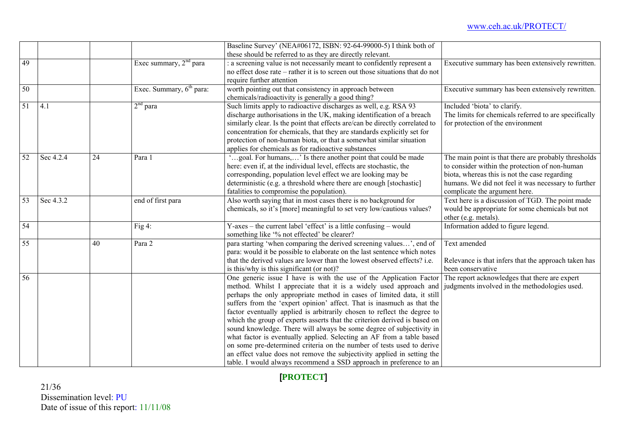|                 |           |    |                                      | Baseline Survey' (NEA#06172, ISBN: 92-64-99000-5) I think both of             |                                                       |
|-----------------|-----------|----|--------------------------------------|-------------------------------------------------------------------------------|-------------------------------------------------------|
|                 |           |    |                                      | these should be referred to as they are directly relevant.                    |                                                       |
| $\overline{49}$ |           |    | Exec summary, $2nd$ para             | a screening value is not necessarily meant to confidently represent a         | Executive summary has been extensively rewritten.     |
|                 |           |    |                                      | no effect dose rate – rather it is to screen out those situations that do not |                                                       |
|                 |           |    |                                      | require further attention                                                     |                                                       |
| 50              |           |    | Exec. Summary, 6 <sup>th</sup> para: | worth pointing out that consistency in approach between                       | Executive summary has been extensively rewritten.     |
|                 |           |    |                                      | chemicals/radioactivity is generally a good thing?                            |                                                       |
| 51              | 4.1       |    | $2nd$ para                           | Such limits apply to radioactive discharges as well, e.g. RSA 93              | Included 'biota' to clarify.                          |
|                 |           |    |                                      | discharge authorisations in the UK, making identification of a breach         | The limits for chemicals referred to are specifically |
|                 |           |    |                                      | similarly clear. Is the point that effects are/can be directly correlated to  | for protection of the environment                     |
|                 |           |    |                                      | concentration for chemicals, that they are standards explicitly set for       |                                                       |
|                 |           |    |                                      | protection of non-human biota, or that a somewhat similar situation           |                                                       |
|                 |           |    |                                      | applies for chemicals as for radioactive substances                           |                                                       |
| 52              | Sec 4.2.4 | 24 | Para 1                               | "goal. For humans," Is there another point that could be made                 | The main point is that there are probably thresholds  |
|                 |           |    |                                      | here: even if, at the individual level, effects are stochastic, the           | to consider within the protection of non-human        |
|                 |           |    |                                      | corresponding, population level effect we are looking may be                  | biota, whereas this is not the case regarding         |
|                 |           |    |                                      | deterministic (e.g. a threshold where there are enough [stochastic]           | humans. We did not feel it was necessary to further   |
|                 |           |    |                                      | fatalities to compromise the population).                                     | complicate the argument here.                         |
| 53              | Sec 4.3.2 |    | end of first para                    | Also worth saying that in most cases there is no background for               | Text here is a discussion of TGD. The point made      |
|                 |           |    |                                      | chemicals, so it's [more] meaningful to set very low/cautious values?         | would be appropriate for some chemicals but not       |
|                 |           |    |                                      |                                                                               | other (e.g. metals).                                  |
| 54              |           |    | Fig $4$ :                            | Y-axes – the current label 'effect' is a little confusing – would             | Information added to figure legend.                   |
|                 |           |    |                                      | something like '% not effected' be clearer?                                   |                                                       |
| 55              |           | 40 | Para 2                               | para starting 'when comparing the derived screening values', end of           | Text amended                                          |
|                 |           |    |                                      | para: would it be possible to elaborate on the last sentence which notes      |                                                       |
|                 |           |    |                                      | that the derived values are lower than the lowest observed effects? i.e.      | Relevance is that infers that the approach taken has  |
|                 |           |    |                                      | is this/why is this significant (or not)?                                     | been conservative                                     |
| 56              |           |    |                                      | One generic issue I have is with the use of the Application Factor            | The report acknowledges that there are expert         |
|                 |           |    |                                      | method. Whilst I appreciate that it is a widely used approach and             | judgments involved in the methodologies used.         |
|                 |           |    |                                      | perhaps the only appropriate method in cases of limited data, it still        |                                                       |
|                 |           |    |                                      | suffers from the 'expert opinion' affect. That is inasmuch as that the        |                                                       |
|                 |           |    |                                      | factor eventually applied is arbitrarily chosen to reflect the degree to      |                                                       |
|                 |           |    |                                      | which the group of experts asserts that the criterion derived is based on     |                                                       |
|                 |           |    |                                      | sound knowledge. There will always be some degree of subjectivity in          |                                                       |
|                 |           |    |                                      | what factor is eventually applied. Selecting an AF from a table based         |                                                       |
|                 |           |    |                                      | on some pre-determined criteria on the number of tests used to derive         |                                                       |
|                 |           |    |                                      | an effect value does not remove the subjectivity applied in setting the       |                                                       |
|                 |           |    |                                      | table. I would always recommend a SSD approach in preference to an            |                                                       |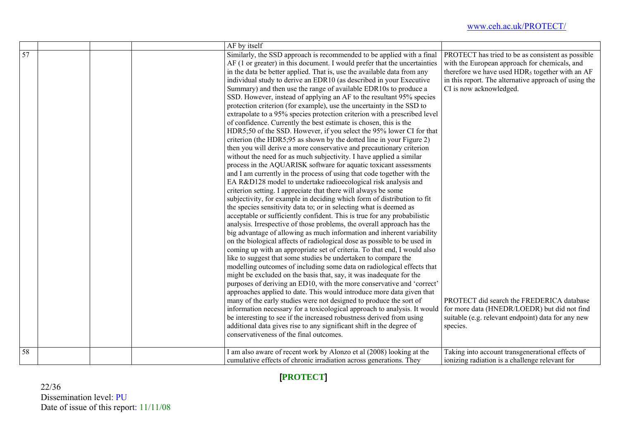|    |  | AF by itself                                                              |                                                             |
|----|--|---------------------------------------------------------------------------|-------------------------------------------------------------|
| 57 |  | Similarly, the SSD approach is recommended to be applied with a final     | PROTECT has tried to be as consistent as possible           |
|    |  | AF (1 or greater) in this document. I would prefer that the uncertainties | with the European approach for chemicals, and               |
|    |  | in the data be better applied. That is, use the available data from any   | therefore we have used HDR <sub>5</sub> together with an AF |
|    |  | individual study to derive an EDR10 (as described in your Executive       | in this report. The alternative approach of using the       |
|    |  | Summary) and then use the range of available EDR10s to produce a          | CI is now acknowledged.                                     |
|    |  | SSD. However, instead of applying an AF to the resultant 95% species      |                                                             |
|    |  | protection criterion (for example), use the uncertainty in the SSD to     |                                                             |
|    |  | extrapolate to a 95% species protection criterion with a prescribed level |                                                             |
|    |  | of confidence. Currently the best estimate is chosen, this is the         |                                                             |
|    |  | HDR5;50 of the SSD. However, if you select the 95% lower CI for that      |                                                             |
|    |  | criterion (the HDR5;95 as shown by the dotted line in your Figure 2)      |                                                             |
|    |  | then you will derive a more conservative and precautionary criterion      |                                                             |
|    |  | without the need for as much subjectivity. I have applied a similar       |                                                             |
|    |  | process in the AQUARISK software for aquatic toxicant assessments         |                                                             |
|    |  | and I am currently in the process of using that code together with the    |                                                             |
|    |  | EA R&D128 model to undertake radioecological risk analysis and            |                                                             |
|    |  | criterion setting. I appreciate that there will always be some            |                                                             |
|    |  | subjectivity, for example in deciding which form of distribution to fit   |                                                             |
|    |  | the species sensitivity data to; or in selecting what is deemed as        |                                                             |
|    |  | acceptable or sufficiently confident. This is true for any probabilistic  |                                                             |
|    |  | analysis. Irrespective of those problems, the overall approach has the    |                                                             |
|    |  | big advantage of allowing as much information and inherent variability    |                                                             |
|    |  | on the biological affects of radiological dose as possible to be used in  |                                                             |
|    |  | coming up with an appropriate set of criteria. To that end, I would also  |                                                             |
|    |  | like to suggest that some studies be undertaken to compare the            |                                                             |
|    |  | modelling outcomes of including some data on radiological effects that    |                                                             |
|    |  | might be excluded on the basis that, say, it was inadequate for the       |                                                             |
|    |  | purposes of deriving an ED10, with the more conservative and 'correct'    |                                                             |
|    |  | approaches applied to date. This would introduce more data given that     |                                                             |
|    |  | many of the early studies were not designed to produce the sort of        | PROTECT did search the FREDERICA database                   |
|    |  | information necessary for a toxicological approach to analysis. It would  | for more data (HNEDR/LOEDR) but did not find                |
|    |  | be interesting to see if the increased robustness derived from using      | suitable (e.g. relevant endpoint) data for any new          |
|    |  | additional data gives rise to any significant shift in the degree of      | species.                                                    |
|    |  | conservativeness of the final outcomes.                                   |                                                             |
|    |  |                                                                           |                                                             |
| 58 |  | I am also aware of recent work by Alonzo et al (2008) looking at the      | Taking into account transgenerational effects of            |
|    |  | cumulative effects of chronic irradiation across generations. They        | ionizing radiation is a challenge relevant for              |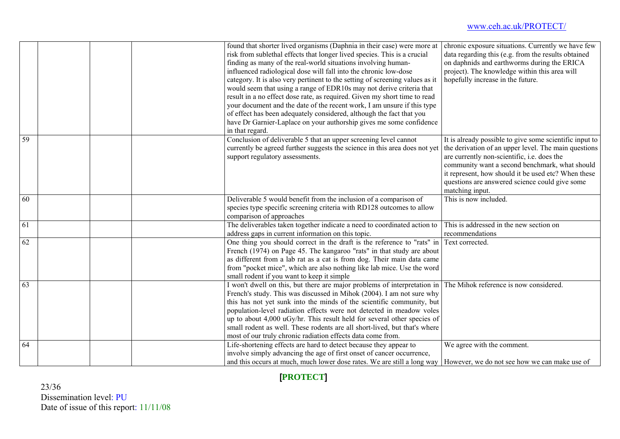|                 | found that shorter lived organisms (Daphnia in their case) were more at<br>risk from sublethal effects that longer lived species. This is a crucial<br>finding as many of the real-world situations involving human-<br>influenced radiological dose will fall into the chronic low-dose<br>category. It is also very pertinent to the setting of screening values as it<br>would seem that using a range of EDR10s may not derive criteria that<br>result in a no effect dose rate, as required. Given my short time to read<br>your document and the date of the recent work, I am unsure if this type<br>of effect has been adequately considered, although the fact that you<br>have Dr Garnier-Laplace on your authorship gives me some confidence<br>in that regard. | chronic exposure situations. Currently we have few<br>data regarding this (e.g. from the results obtained<br>on daphnids and earthworms during the ERICA<br>project). The knowledge within this area will<br>hopefully increase in the future.                                                                                               |
|-----------------|----------------------------------------------------------------------------------------------------------------------------------------------------------------------------------------------------------------------------------------------------------------------------------------------------------------------------------------------------------------------------------------------------------------------------------------------------------------------------------------------------------------------------------------------------------------------------------------------------------------------------------------------------------------------------------------------------------------------------------------------------------------------------|----------------------------------------------------------------------------------------------------------------------------------------------------------------------------------------------------------------------------------------------------------------------------------------------------------------------------------------------|
| $\overline{59}$ | Conclusion of deliverable 5 that an upper screening level cannot<br>currently be agreed further suggests the science in this area does not yet<br>support regulatory assessments.                                                                                                                                                                                                                                                                                                                                                                                                                                                                                                                                                                                          | It is already possible to give some scientific input to<br>the derivation of an upper level. The main questions<br>are currently non-scientific, i.e. does the<br>community want a second benchmark, what should<br>it represent, how should it be used etc? When these<br>questions are answered science could give some<br>matching input. |
| 60              | Deliverable 5 would benefit from the inclusion of a comparison of<br>species type specific screening criteria with RD128 outcomes to allow<br>comparison of approaches                                                                                                                                                                                                                                                                                                                                                                                                                                                                                                                                                                                                     | This is now included.                                                                                                                                                                                                                                                                                                                        |
| 61              | The deliverables taken together indicate a need to coordinated action to<br>address gaps in current information on this topic.                                                                                                                                                                                                                                                                                                                                                                                                                                                                                                                                                                                                                                             | This is addressed in the new section on<br>recommendations                                                                                                                                                                                                                                                                                   |
| 62              | One thing you should correct in the draft is the reference to "rats" in<br>French (1974) on Page 45. The kangaroo "rats" in that study are about<br>as different from a lab rat as a cat is from dog. Their main data came<br>from "pocket mice", which are also nothing like lab mice. Use the word<br>small rodent if you want to keep it simple                                                                                                                                                                                                                                                                                                                                                                                                                         | Text corrected.                                                                                                                                                                                                                                                                                                                              |
| 63              | I won't dwell on this, but there are major problems of interpretation in<br>French's study. This was discussed in Mihok (2004). I am not sure why<br>this has not yet sunk into the minds of the scientific community, but<br>population-level radiation effects were not detected in meadow voles<br>up to about 4,000 uGy/hr. This result held for several other species of<br>small rodent as well. These rodents are all short-lived, but that's where<br>most of our truly chronic radiation effects data come from.                                                                                                                                                                                                                                                  | The Mihok reference is now considered.                                                                                                                                                                                                                                                                                                       |
| 64              | Life-shortening effects are hard to detect because they appear to<br>involve simply advancing the age of first onset of cancer occurrence,<br>and this occurs at much, much lower dose rates. We are still a long way   However, we do not see how we can make use of                                                                                                                                                                                                                                                                                                                                                                                                                                                                                                      | We agree with the comment.                                                                                                                                                                                                                                                                                                                   |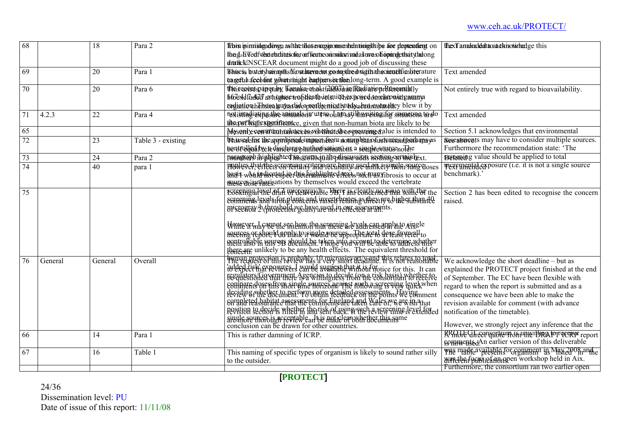| 68              |         | $\overline{18}$ | Para 2             | ffbin ipimishgadovgn ashatet das encesioomsen bedatioigships for depter dengt                                                                                                                                                        | thexTamakaddattacatakinotivhedge this                        |
|-----------------|---------|-----------------|--------------------|--------------------------------------------------------------------------------------------------------------------------------------------------------------------------------------------------------------------------------------|--------------------------------------------------------------|
|                 |         |                 |                    | tbng-EiTedfytheterkritetsofor orffectreoninsulari nada suva sofiopningetheitytladong                                                                                                                                                 |                                                              |
|                 |         |                 |                    | draftcklNSCEAR document might do a good job of discussing these                                                                                                                                                                      |                                                              |
| 69              |         | 20              | Para 1             | Tshue is but eityhsimplist Yout have cot go nopthe drugth a hecient fin biterature                                                                                                                                                   | Text amended                                                 |
|                 |         |                 |                    | trangefuh afcebuiout wilwathrmight bantipensivetulonlong-term. A good example is                                                                                                                                                     |                                                              |
| $\overline{70}$ |         | 20              | Para 6             | their carests paper aby Because et nast (2007) und Radiation Rasemally                                                                                                                                                               | Not entirely true with regard to bioavailability.            |
|                 |         |                 |                    | b6de4dflrded anhogluse trofilicath versnigthex porred ontelerowntgamma                                                                                                                                                               |                                                              |
|                 |         |                 |                    | radiation he has a guy a dadea neat he nied study a counnwarded ey blew it by                                                                                                                                                        |                                                              |
| $\overline{71}$ | 4.2.3   | 22              | Para 4             | not istingi asipg she animals in uterwol nurstill handsing if or sinnations to do                                                                                                                                                    | Text amended                                                 |
|                 |         |                 |                    | theoperficial experimentee, given that non-human biota are likely to be                                                                                                                                                              |                                                              |
| 65              |         |                 |                    | Mysenly cominuunalates to svib that dios creating dalue is intended to                                                                                                                                                               | Section 5.1 acknowledges that environmental                  |
| 72              |         | 23              | Table 3 - existing | Thusselefos the appropriede mpacheram poning banos requested por bana yas                                                                                                                                                            | <b>SEECEMBRISHING</b> may have to consider multiple sources. |
|                 |         |                 |                    | bentrolled by te discharge huthod sation bas a suggle squice nothe                                                                                                                                                                   | Furthermore the recommendation state: 'The                   |
| 73              |         | 24              | Para 2             | nanagraph highlighted insgreno quitiephissessing section of the lext.                                                                                                                                                                | <b>systeming</b> value should be applied to total            |
| $\overline{74}$ |         | 40              | para 1             | I PRINCES CHatTELEtSCG GREEN HELE TERRITE CHAIRS AFECT ON REIS TREAS SPAIRS CLOSES                                                                                                                                                   | <b>TEXEMPRIAL EXPOSURE</b> (i.e. it is not a single source   |
|                 |         |                 |                    | haais worldwated better bushinghted rects pot mass in brosis to occur at                                                                                                                                                             | benchmark).'                                                 |
|                 |         |                 |                    | <b>SQUICES/authorisations by themselves would exceed the vertebrate</b>                                                                                                                                                              |                                                              |
| $\overline{75}$ |         |                 |                    | EGGEHING AFTH DIGHTERMANE STETT AND CONCEPTED THAT WITH THE the                                                                                                                                                                      | Section 2 has been edited to recognise the concern           |
|                 |         |                 |                    | screening langls for please and investe bent na scheen y diabet than the                                                                                                                                                             | raised.                                                      |
|                 |         |                 |                    | Bristeeray h throuble hysolaty are to in one deseasingnts.                                                                                                                                                                           |                                                              |
|                 |         |                 |                    |                                                                                                                                                                                                                                      |                                                              |
|                 |         |                 |                    | Womever <sub>ma</sub> cappen sentennothe arrange levels ease apply to Aingle                                                                                                                                                         |                                                              |
|                 |         |                 |                    |                                                                                                                                                                                                                                      |                                                              |
|                 |         |                 |                    |                                                                                                                                                                                                                                      |                                                              |
|                 |         |                 |                    | merges respond the physician and respectively developed to<br>the sense of the sense of the physician of the sense of the control of the sense of the sense of the sense of<br>the control of the control of the sense of the sense  |                                                              |
| 76              | General | General         | Overall            |                                                                                                                                                                                                                                      | We acknowledge the short deadline - but as                   |
|                 |         |                 |                    | human protection is probably. If microsicy of vanne this relates to totale<br>'iddsgleie'n grievrevers examed avanable with out motice for this. It can                                                                              | explained the PROTECT project finished at the end            |
|                 |         |                 |                    | reeylators/Government Asancins to deside (on the risk basis) whether to                                                                                                                                                              | of September. The EC have been flexible with                 |
|                 |         |                 |                    | be-duestioned that there is a winnightess non the consortium to receive<br>commercial offering on other from the file and winning reverse light.<br>deviding order the end of the part of the state of the same put is the vehinment | regard to when the report is submitted and as a              |
|                 |         |                 |                    |                                                                                                                                                                                                                                      | consequence we have been able to make the                    |
|                 |         |                 |                    |                                                                                                                                                                                                                                      | revision available for comment (with advance                 |
|                 |         |                 |                    |                                                                                                                                                                                                                                      | notification of the timetable).                              |
|                 |         |                 |                    |                                                                                                                                                                                                                                      |                                                              |
|                 |         |                 |                    | conclusion can be drawn for other countries.                                                                                                                                                                                         | However, we strongly reject any inference that the           |
| 66              |         | 14              | Para 1             | This is rather damning of ICRP.                                                                                                                                                                                                      | RPGGFGFeCOLOGICIUM GRAPHICORP report                         |
|                 |         |                 |                    |                                                                                                                                                                                                                                      |                                                              |
| 67              |         | 16              | Table 1            | This naming of specific types of organism is likely to sound rather silly                                                                                                                                                            | was made available for comment in May 2008 and e             |
|                 |         |                 |                    | to the outsider.                                                                                                                                                                                                                     | Marchenfocusie and workshop held in Aix.                     |
|                 |         |                 |                    |                                                                                                                                                                                                                                      | Furthermore, the consortium ran two earlier open             |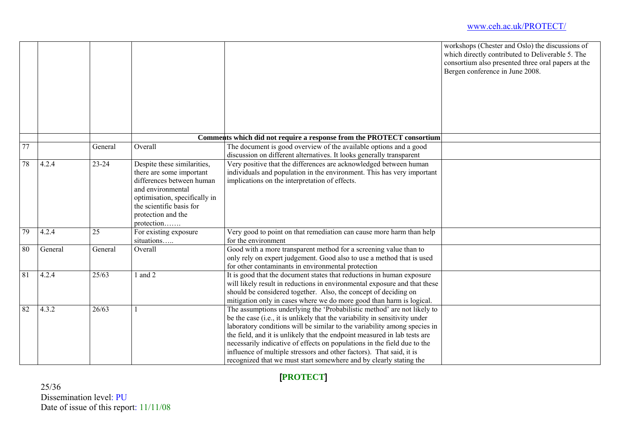|                 |         |         |                                                                                                                                                                                                            |                                                                                                                                                                                                                                                                                                                                                                                                                                                                                                                                            | workshops (Chester and Oslo) the discussions of<br>which directly contributed to Deliverable 5. The<br>consortium also presented three oral papers at the<br>Bergen conference in June 2008. |
|-----------------|---------|---------|------------------------------------------------------------------------------------------------------------------------------------------------------------------------------------------------------------|--------------------------------------------------------------------------------------------------------------------------------------------------------------------------------------------------------------------------------------------------------------------------------------------------------------------------------------------------------------------------------------------------------------------------------------------------------------------------------------------------------------------------------------------|----------------------------------------------------------------------------------------------------------------------------------------------------------------------------------------------|
|                 |         |         |                                                                                                                                                                                                            | Comments which did not require a response from the PROTECT consortium                                                                                                                                                                                                                                                                                                                                                                                                                                                                      |                                                                                                                                                                                              |
| $\overline{77}$ |         | General | Overall                                                                                                                                                                                                    | The document is good overview of the available options and a good<br>discussion on different alternatives. It looks generally transparent                                                                                                                                                                                                                                                                                                                                                                                                  |                                                                                                                                                                                              |
| 78              | 4.2.4   | 23-24   | Despite these similarities,<br>there are some important<br>differences between human<br>and environmental<br>optimisation, specifically in<br>the scientific basis for<br>protection and the<br>protection | Very positive that the differences are acknowledged between human<br>individuals and population in the environment. This has very important<br>implications on the interpretation of effects.                                                                                                                                                                                                                                                                                                                                              |                                                                                                                                                                                              |
| $\overline{79}$ | 4.2.4   | 25      | For existing exposure<br>situations                                                                                                                                                                        | Very good to point on that remediation can cause more harm than help<br>for the environment                                                                                                                                                                                                                                                                                                                                                                                                                                                |                                                                                                                                                                                              |
| 80              | General | General | Overall                                                                                                                                                                                                    | Good with a more transparent method for a screening value than to<br>only rely on expert judgement. Good also to use a method that is used<br>for other contaminants in environmental protection                                                                                                                                                                                                                                                                                                                                           |                                                                                                                                                                                              |
| 81              | 4.2.4   | 25/63   | $1$ and $2$                                                                                                                                                                                                | It is good that the document states that reductions in human exposure<br>will likely result in reductions in environmental exposure and that these<br>should be considered together. Also, the concept of deciding on<br>mitigation only in cases where we do more good than harm is logical.                                                                                                                                                                                                                                              |                                                                                                                                                                                              |
| 82              | 4.3.2   | 26/63   |                                                                                                                                                                                                            | The assumptions underlying the 'Probabilistic method' are not likely to<br>be the case (i.e., it is unlikely that the variability in sensitivity under<br>laboratory conditions will be similar to the variability among species in<br>the field, and it is unlikely that the endpoint measured in lab tests are<br>necessarily indicative of effects on populations in the field due to the<br>influence of multiple stressors and other factors). That said, it is<br>recognized that we must start somewhere and by clearly stating the |                                                                                                                                                                                              |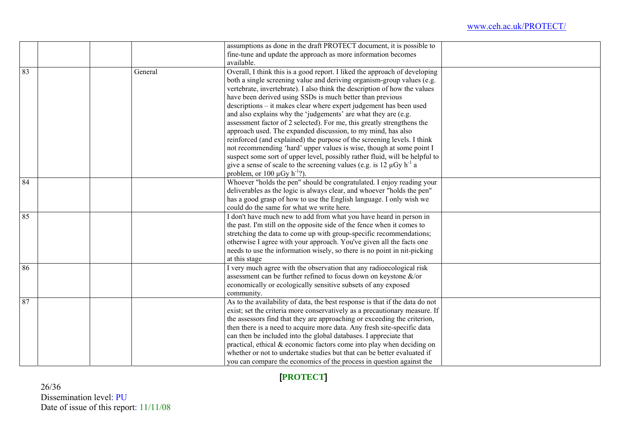|                 |         | assumptions as done in the draft PROTECT document, it is possible to                 |
|-----------------|---------|--------------------------------------------------------------------------------------|
|                 |         | fine-tune and update the approach as more information becomes                        |
|                 |         | available.                                                                           |
| 83              | General | Overall, I think this is a good report. I liked the approach of developing           |
|                 |         | both a single screening value and deriving organism-group values (e.g.               |
|                 |         | vertebrate, invertebrate). I also think the description of how the values            |
|                 |         | have been derived using SSDs is much better than previous                            |
|                 |         | descriptions – it makes clear where expert judgement has been used                   |
|                 |         | and also explains why the 'judgements' are what they are (e.g.                       |
|                 |         | assessment factor of 2 selected). For me, this greatly strengthens the               |
|                 |         | approach used. The expanded discussion, to my mind, has also                         |
|                 |         | reinforced (and explained) the purpose of the screening levels. I think              |
|                 |         | not recommending 'hard' upper values is wise, though at some point I                 |
|                 |         | suspect some sort of upper level, possibly rather fluid, will be helpful to          |
|                 |         | give a sense of scale to the screening values (e.g. is 12 $\mu$ Gy h <sup>-1</sup> a |
|                 |         | problem, or 100 $\mu$ Gy h <sup>-1</sup> ?).                                         |
| $\overline{84}$ |         | Whoever "holds the pen" should be congratulated. I enjoy reading your                |
|                 |         | deliverables as the logic is always clear, and whoever "holds the pen"               |
|                 |         | has a good grasp of how to use the English language. I only wish we                  |
|                 |         | could do the same for what we write here.                                            |
| 85              |         | I don't have much new to add from what you have heard in person in                   |
|                 |         | the past. I'm still on the opposite side of the fence when it comes to               |
|                 |         | stretching the data to come up with group-specific recommendations;                  |
|                 |         | otherwise I agree with your approach. You've given all the facts one                 |
|                 |         | needs to use the information wisely, so there is no point in nit-picking             |
|                 |         | at this stage                                                                        |
| 86              |         | I very much agree with the observation that any radioecological risk                 |
|                 |         | assessment can be further refined to focus down on keystone $\&$ /or                 |
|                 |         | economically or ecologically sensitive subsets of any exposed                        |
|                 |         | community.                                                                           |
| 87              |         | As to the availability of data, the best response is that if the data do not         |
|                 |         | exist; set the criteria more conservatively as a precautionary measure. If           |
|                 |         | the assessors find that they are approaching or exceeding the criterion,             |
|                 |         | then there is a need to acquire more data. Any fresh site-specific data              |
|                 |         | can then be included into the global databases. I appreciate that                    |
|                 |         | practical, ethical $\&$ economic factors come into play when deciding on             |
|                 |         | whether or not to undertake studies but that can be better evaluated if              |
|                 |         | you can compare the economics of the process in question against the                 |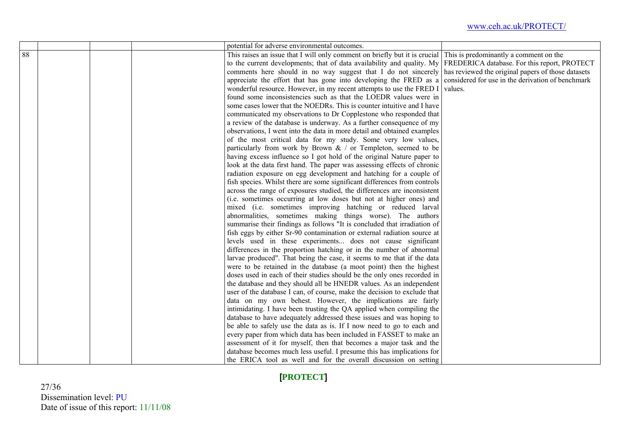|    |  | potential for adverse environmental outcomes.                                                                       |         |
|----|--|---------------------------------------------------------------------------------------------------------------------|---------|
| 88 |  | This raises an issue that I will only comment on briefly but it is crucial This is predominantly a comment on the   |         |
|    |  | to the current developments; that of data availability and quality. My FREDERICA database. For this report, PROTECT |         |
|    |  | comments here should in no way suggest that I do not sincerely has reviewed the original papers of those datasets   |         |
|    |  | appreciate the effort that has gone into developing the FRED as a considered for use in the derivation of benchmark |         |
|    |  | wonderful resource. However, in my recent attempts to use the FRED I                                                | values. |
|    |  | found some inconsistencies such as that the LOEDR values were in                                                    |         |
|    |  | some cases lower that the NOEDRs. This is counter intuitive and I have                                              |         |
|    |  | communicated my observations to Dr Copplestone who responded that                                                   |         |
|    |  | a review of the database is underway. As a further consequence of my                                                |         |
|    |  | observations, I went into the data in more detail and obtained examples                                             |         |
|    |  | of the most critical data for my study. Some very low values,                                                       |         |
|    |  | particularly from work by Brown $\&$ / or Templeton, seemed to be                                                   |         |
|    |  | having excess influence so I got hold of the original Nature paper to                                               |         |
|    |  | look at the data first hand. The paper was assessing effects of chronic                                             |         |
|    |  | radiation exposure on egg development and hatching for a couple of                                                  |         |
|    |  | fish species. Whilst there are some significant differences from controls                                           |         |
|    |  | across the range of exposures studied, the differences are inconsistent                                             |         |
|    |  | (i.e. sometimes occurring at low doses but not at higher ones) and                                                  |         |
|    |  | mixed (i.e. sometimes improving hatching or reduced larval                                                          |         |
|    |  | abnormalities, sometimes making things worse). The authors                                                          |         |
|    |  | summarise their findings as follows "It is concluded that irradiation of                                            |         |
|    |  | fish eggs by either Sr-90 contamination or external radiation source at                                             |         |
|    |  | levels used in these experiments does not cause significant                                                         |         |
|    |  | differences in the proportion hatching or in the number of abnormal                                                 |         |
|    |  | larvae produced". That being the case, it seems to me that if the data                                              |         |
|    |  | were to be retained in the database (a moot point) then the highest                                                 |         |
|    |  | doses used in each of their studies should be the only ones recorded in                                             |         |
|    |  | the database and they should all be HNEDR values. As an independent                                                 |         |
|    |  | user of the database I can, of course, make the decision to exclude that                                            |         |
|    |  | data on my own behest. However, the implications are fairly                                                         |         |
|    |  | intimidating. I have been trusting the QA applied when compiling the                                                |         |
|    |  | database to have adequately addressed these issues and was hoping to                                                |         |
|    |  | be able to safely use the data as is. If I now need to go to each and                                               |         |
|    |  | every paper from which data has been included in FASSET to make an                                                  |         |
|    |  | assessment of it for myself, then that becomes a major task and the                                                 |         |
|    |  | database becomes much less useful. I presume this has implications for                                              |         |
|    |  | the ERICA tool as well and for the overall discussion on setting                                                    |         |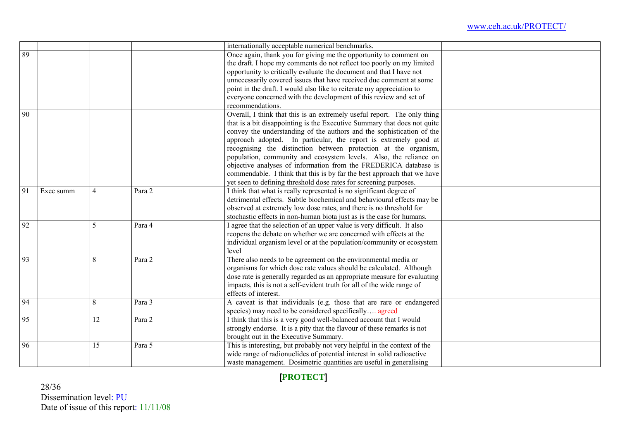|    |           |                |        | internationally acceptable numerical benchmarks.                         |  |
|----|-----------|----------------|--------|--------------------------------------------------------------------------|--|
| 89 |           |                |        | Once again, thank you for giving me the opportunity to comment on        |  |
|    |           |                |        | the draft. I hope my comments do not reflect too poorly on my limited    |  |
|    |           |                |        | opportunity to critically evaluate the document and that I have not      |  |
|    |           |                |        | unnecessarily covered issues that have received due comment at some      |  |
|    |           |                |        | point in the draft. I would also like to reiterate my appreciation to    |  |
|    |           |                |        | everyone concerned with the development of this review and set of        |  |
|    |           |                |        | recommendations.                                                         |  |
| 90 |           |                |        | Overall, I think that this is an extremely useful report. The only thing |  |
|    |           |                |        | that is a bit disappointing is the Executive Summary that does not quite |  |
|    |           |                |        | convey the understanding of the authors and the sophistication of the    |  |
|    |           |                |        | approach adopted. In particular, the report is extremely good at         |  |
|    |           |                |        | recognising the distinction between protection at the organism,          |  |
|    |           |                |        | population, community and ecosystem levels. Also, the reliance on        |  |
|    |           |                |        | objective analyses of information from the FREDERICA database is         |  |
|    |           |                |        | commendable. I think that this is by far the best approach that we have  |  |
|    |           |                |        | yet seen to defining threshold dose rates for screening purposes.        |  |
| 91 | Exec summ | $\overline{4}$ | Para 2 | I think that what is really represented is no significant degree of      |  |
|    |           |                |        | detrimental effects. Subtle biochemical and behavioural effects may be   |  |
|    |           |                |        | observed at extremely low dose rates, and there is no threshold for      |  |
|    |           |                |        | stochastic effects in non-human biota just as is the case for humans.    |  |
| 92 |           | 5              | Para 4 | I agree that the selection of an upper value is very difficult. It also  |  |
|    |           |                |        | reopens the debate on whether we are concerned with effects at the       |  |
|    |           |                |        | individual organism level or at the population/community or ecosystem    |  |
|    |           |                |        | level                                                                    |  |
| 93 |           | 8              | Para 2 | There also needs to be agreement on the environmental media or           |  |
|    |           |                |        | organisms for which dose rate values should be calculated. Although      |  |
|    |           |                |        | dose rate is generally regarded as an appropriate measure for evaluating |  |
|    |           |                |        | impacts, this is not a self-evident truth for all of the wide range of   |  |
|    |           |                |        | effects of interest.                                                     |  |
| 94 |           | 8              | Para 3 | A caveat is that individuals (e.g. those that are rare or endangered     |  |
|    |           |                |        | species) may need to be considered specifically agreed                   |  |
| 95 |           | 12             | Para 2 | I think that this is a very good well-balanced account that I would      |  |
|    |           |                |        | strongly endorse. It is a pity that the flavour of these remarks is not  |  |
|    |           |                |        | brought out in the Executive Summary.                                    |  |
| 96 |           | 15             | Para 5 | This is interesting, but probably not very helpful in the context of the |  |
|    |           |                |        | wide range of radionuclides of potential interest in solid radioactive   |  |
|    |           |                |        | waste management. Dosimetric quantities are useful in generalising       |  |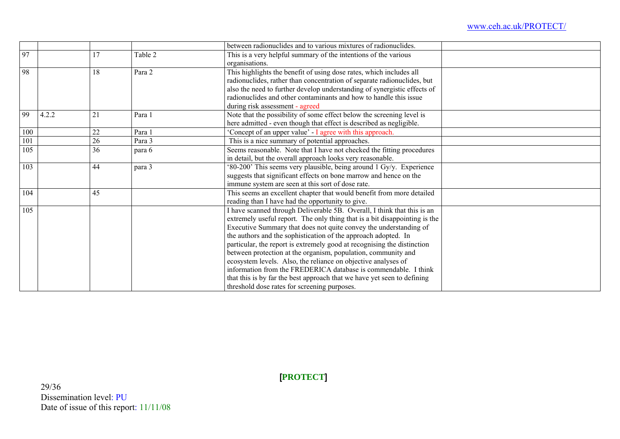|     |       |    |         | between radionuclides and to various mixtures of radionuclides.            |
|-----|-------|----|---------|----------------------------------------------------------------------------|
| 97  |       | 7  | Table 2 | This is a very helpful summary of the intentions of the various            |
|     |       |    |         | organisations.                                                             |
| 98  |       | 18 | Para 2  | This highlights the benefit of using dose rates, which includes all        |
|     |       |    |         | radionuclides, rather than concentration of separate radionuclides, but    |
|     |       |    |         | also the need to further develop understanding of synergistic effects of   |
|     |       |    |         | radionuclides and other contaminants and how to handle this issue          |
|     |       |    |         | during risk assessment - agreed                                            |
| 99  | 4.2.2 | 21 | Para 1  | Note that the possibility of some effect below the screening level is      |
|     |       |    |         | here admitted - even though that effect is described as negligible.        |
| 100 |       | 22 | Para 1  | Concept of an upper value' - I agree with this approach.                   |
| 101 |       | 26 | Para 3  | This is a nice summary of potential approaches.                            |
| 105 |       | 36 | para 6  | Seems reasonable. Note that I have not checked the fitting procedures      |
|     |       |    |         | in detail, but the overall approach looks very reasonable.                 |
| 103 |       | 44 | para 3  | '80-200' This seems very plausible, being around 1 Gy/y. Experience        |
|     |       |    |         | suggests that significant effects on bone marrow and hence on the          |
|     |       |    |         | immune system are seen at this sort of dose rate.                          |
| 104 |       | 45 |         | This seems an excellent chapter that would benefit from more detailed      |
|     |       |    |         | reading than I have had the opportunity to give.                           |
| 105 |       |    |         | I have scanned through Deliverable 5B. Overall, I think that this is an    |
|     |       |    |         | extremely useful report. The only thing that is a bit disappointing is the |
|     |       |    |         | Executive Summary that does not quite convey the understanding of          |
|     |       |    |         | the authors and the sophistication of the approach adopted. In             |
|     |       |    |         | particular, the report is extremely good at recognising the distinction    |
|     |       |    |         | between protection at the organism, population, community and              |
|     |       |    |         | ecosystem levels. Also, the reliance on objective analyses of              |
|     |       |    |         | information from the FREDERICA database is commendable. I think            |
|     |       |    |         | that this is by far the best approach that we have yet seen to defining    |
|     |       |    |         | threshold dose rates for screening purposes.                               |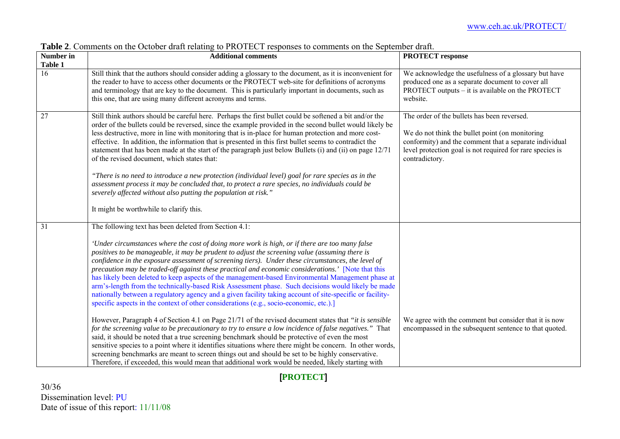| Number in       | <b>Additional comments</b>                                                                                                                                                                                                                                                                                                                                                                                                                                                                                                                                                                                                                                                                                                                                                                                                                                                                                                                                                                                                                                                                                                                                                                                                                                                                                                                                                                                                                                                                                                         | <b>PROTECT</b> response                                                                                                                                                                                                                 |
|-----------------|------------------------------------------------------------------------------------------------------------------------------------------------------------------------------------------------------------------------------------------------------------------------------------------------------------------------------------------------------------------------------------------------------------------------------------------------------------------------------------------------------------------------------------------------------------------------------------------------------------------------------------------------------------------------------------------------------------------------------------------------------------------------------------------------------------------------------------------------------------------------------------------------------------------------------------------------------------------------------------------------------------------------------------------------------------------------------------------------------------------------------------------------------------------------------------------------------------------------------------------------------------------------------------------------------------------------------------------------------------------------------------------------------------------------------------------------------------------------------------------------------------------------------------|-----------------------------------------------------------------------------------------------------------------------------------------------------------------------------------------------------------------------------------------|
| Table 1<br>16   | Still think that the authors should consider adding a glossary to the document, as it is inconvenient for<br>the reader to have to access other documents or the PROTECT web-site for definitions of acronyms<br>and terminology that are key to the document. This is particularly important in documents, such as<br>this one, that are using many different acronyms and terms.                                                                                                                                                                                                                                                                                                                                                                                                                                                                                                                                                                                                                                                                                                                                                                                                                                                                                                                                                                                                                                                                                                                                                 | We acknowledge the usefulness of a glossary but have<br>produced one as a separate document to cover all<br>PROTECT outputs – it is available on the PROTECT<br>website.                                                                |
| $\overline{27}$ | Still think authors should be careful here. Perhaps the first bullet could be softened a bit and/or the<br>order of the bullets could be reversed, since the example provided in the second bullet would likely be<br>less destructive, more in line with monitoring that is in-place for human protection and more cost-<br>effective. In addition, the information that is presented in this first bullet seems to contradict the<br>statement that has been made at the start of the paragraph just below Bullets (i) and (ii) on page 12/71<br>of the revised document, which states that:<br>"There is no need to introduce a new protection (individual level) goal for rare species as in the<br>assessment process it may be concluded that, to protect a rare species, no individuals could be<br>severely affected without also putting the population at risk."<br>It might be worthwhile to clarify this.                                                                                                                                                                                                                                                                                                                                                                                                                                                                                                                                                                                                              | The order of the bullets has been reversed.<br>We do not think the bullet point (on monitoring<br>conformity) and the comment that a separate individual<br>level protection goal is not required for rare species is<br>contradictory. |
| 31              | The following text has been deleted from Section 4.1:<br>'Under circumstances where the cost of doing more work is high, or if there are too many false<br>positives to be manageable, it may be prudent to adjust the screening value (assuming there is<br>confidence in the exposure assessment of screening tiers). Under these circumstances, the level of<br>precaution may be traded-off against these practical and economic considerations.' [Note that this<br>has likely been deleted to keep aspects of the management-based Environmental Management phase at<br>arm's-length from the technically-based Risk Assessment phase. Such decisions would likely be made<br>nationally between a regulatory agency and a given facility taking account of site-specific or facility-<br>specific aspects in the context of other considerations (e.g., socio-economic, etc.).]<br>However, Paragraph 4 of Section 4.1 on Page 21/71 of the revised document states that "it is sensible<br>for the screening value to be precautionary to try to ensure a low incidence of false negatives." That<br>said, it should be noted that a true screening benchmark should be protective of even the most<br>sensitive species to a point where it identifies situations where there might be concern. In other words,<br>screening benchmarks are meant to screen things out and should be set to be highly conservative.<br>Therefore, if exceeded, this would mean that additional work would be needed, likely starting with | We agree with the comment but consider that it is now<br>encompassed in the subsequent sentence to that quoted.                                                                                                                         |

**Table 2**. Comments on the October draft relating to PROTECT responses to comments on the September draft.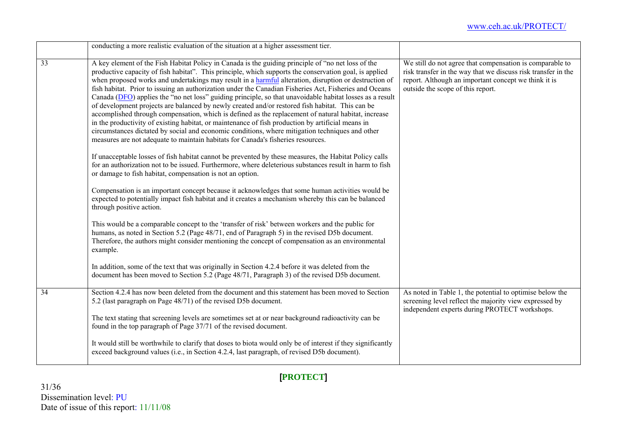|    | conducting a more realistic evaluation of the situation at a higher assessment tier.                                                                                                                                                                                                                                                                                                                                                                                                                                                                                                                                                                                                                                                                                                                                                                                                                                                                                                                                                              |                                                                                                                                                                                                                        |  |  |
|----|---------------------------------------------------------------------------------------------------------------------------------------------------------------------------------------------------------------------------------------------------------------------------------------------------------------------------------------------------------------------------------------------------------------------------------------------------------------------------------------------------------------------------------------------------------------------------------------------------------------------------------------------------------------------------------------------------------------------------------------------------------------------------------------------------------------------------------------------------------------------------------------------------------------------------------------------------------------------------------------------------------------------------------------------------|------------------------------------------------------------------------------------------------------------------------------------------------------------------------------------------------------------------------|--|--|
| 33 | A key element of the Fish Habitat Policy in Canada is the guiding principle of "no net loss of the<br>productive capacity of fish habitat". This principle, which supports the conservation goal, is applied<br>when proposed works and undertakings may result in a harmful alteration, disruption or destruction of<br>fish habitat. Prior to issuing an authorization under the Canadian Fisheries Act, Fisheries and Oceans<br>Canada (DFO) applies the "no net loss" guiding principle, so that unavoidable habitat losses as a result<br>of development projects are balanced by newly created and/or restored fish habitat. This can be<br>accomplished through compensation, which is defined as the replacement of natural habitat, increase<br>in the productivity of existing habitat, or maintenance of fish production by artificial means in<br>circumstances dictated by social and economic conditions, where mitigation techniques and other<br>measures are not adequate to maintain habitats for Canada's fisheries resources. | We still do not agree that compensation is comparable to<br>risk transfer in the way that we discuss risk transfer in the<br>report. Although an important concept we think it is<br>outside the scope of this report. |  |  |
|    | If unacceptable losses of fish habitat cannot be prevented by these measures, the Habitat Policy calls<br>for an authorization not to be issued. Furthermore, where deleterious substances result in harm to fish<br>or damage to fish habitat, compensation is not an option.                                                                                                                                                                                                                                                                                                                                                                                                                                                                                                                                                                                                                                                                                                                                                                    |                                                                                                                                                                                                                        |  |  |
|    | Compensation is an important concept because it acknowledges that some human activities would be<br>expected to potentially impact fish habitat and it creates a mechanism whereby this can be balanced<br>through positive action.                                                                                                                                                                                                                                                                                                                                                                                                                                                                                                                                                                                                                                                                                                                                                                                                               |                                                                                                                                                                                                                        |  |  |
|    | This would be a comparable concept to the 'transfer of risk' between workers and the public for<br>humans, as noted in Section 5.2 (Page 48/71, end of Paragraph 5) in the revised D5b document.<br>Therefore, the authors might consider mentioning the concept of compensation as an environmental<br>example.                                                                                                                                                                                                                                                                                                                                                                                                                                                                                                                                                                                                                                                                                                                                  |                                                                                                                                                                                                                        |  |  |
|    | In addition, some of the text that was originally in Section 4.2.4 before it was deleted from the<br>document has been moved to Section 5.2 (Page 48/71, Paragraph 3) of the revised D5b document.                                                                                                                                                                                                                                                                                                                                                                                                                                                                                                                                                                                                                                                                                                                                                                                                                                                |                                                                                                                                                                                                                        |  |  |
| 34 | Section 4.2.4 has now been deleted from the document and this statement has been moved to Section<br>5.2 (last paragraph on Page 48/71) of the revised D5b document.                                                                                                                                                                                                                                                                                                                                                                                                                                                                                                                                                                                                                                                                                                                                                                                                                                                                              | As noted in Table 1, the potential to optimise below the<br>screening level reflect the majority view expressed by<br>independent experts during PROTECT workshops.                                                    |  |  |
|    | The text stating that screening levels are sometimes set at or near background radioactivity can be<br>found in the top paragraph of Page 37/71 of the revised document.                                                                                                                                                                                                                                                                                                                                                                                                                                                                                                                                                                                                                                                                                                                                                                                                                                                                          |                                                                                                                                                                                                                        |  |  |
|    | It would still be worthwhile to clarify that doses to biota would only be of interest if they significantly<br>exceed background values (i.e., in Section 4.2.4, last paragraph, of revised D5b document).                                                                                                                                                                                                                                                                                                                                                                                                                                                                                                                                                                                                                                                                                                                                                                                                                                        |                                                                                                                                                                                                                        |  |  |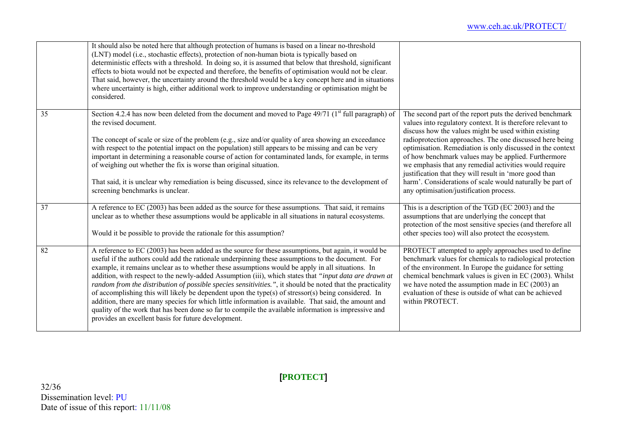|    | It should also be noted here that although protection of humans is based on a linear no-threshold<br>(LNT) model (i.e., stochastic effects), protection of non-human biota is typically based on<br>deterministic effects with a threshold. In doing so, it is assumed that below that threshold, significant<br>effects to biota would not be expected and therefore, the benefits of optimisation would not be clear.<br>That said, however, the uncertainty around the threshold would be a key concept here and in situations<br>where uncertainty is high, either additional work to improve understanding or optimisation might be<br>considered.                                                                                                                                                                                                                                                             |                                                                                                                                                                                                                                                                                                                                                                                                                                                                                                                                                                                              |
|----|---------------------------------------------------------------------------------------------------------------------------------------------------------------------------------------------------------------------------------------------------------------------------------------------------------------------------------------------------------------------------------------------------------------------------------------------------------------------------------------------------------------------------------------------------------------------------------------------------------------------------------------------------------------------------------------------------------------------------------------------------------------------------------------------------------------------------------------------------------------------------------------------------------------------|----------------------------------------------------------------------------------------------------------------------------------------------------------------------------------------------------------------------------------------------------------------------------------------------------------------------------------------------------------------------------------------------------------------------------------------------------------------------------------------------------------------------------------------------------------------------------------------------|
| 35 | Section 4.2.4 has now been deleted from the document and moved to Page 49/71 ( $1st$ full paragraph) of<br>the revised document.<br>The concept of scale or size of the problem (e.g., size and/or quality of area showing an exceedance<br>with respect to the potential impact on the population) still appears to be missing and can be very<br>important in determining a reasonable course of action for contaminated lands, for example, in terms<br>of weighing out whether the fix is worse than original situation.<br>That said, it is unclear why remediation is being discussed, since its relevance to the development of<br>screening benchmarks is unclear.                                                                                                                                                                                                                                          | The second part of the report puts the derived benchmark<br>values into regulatory context. It is therefore relevant to<br>discuss how the values might be used within existing<br>radioprotection approaches. The one discussed here being<br>optimisation. Remediation is only discussed in the context<br>of how benchmark values may be applied. Furthermore<br>we emphasis that any remedial activities would require<br>justification that they will result in 'more good than<br>harm'. Considerations of scale would naturally be part of<br>any optimisation/justification process. |
| 37 | A reference to EC (2003) has been added as the source for these assumptions. That said, it remains<br>unclear as to whether these assumptions would be applicable in all situations in natural ecosystems.<br>Would it be possible to provide the rationale for this assumption?                                                                                                                                                                                                                                                                                                                                                                                                                                                                                                                                                                                                                                    | This is a description of the TGD (EC 2003) and the<br>assumptions that are underlying the concept that<br>protection of the most sensitive species (and therefore all<br>other species too) will also protect the ecosystem.                                                                                                                                                                                                                                                                                                                                                                 |
| 82 | A reference to EC (2003) has been added as the source for these assumptions, but again, it would be<br>useful if the authors could add the rationale underpinning these assumptions to the document. For<br>example, it remains unclear as to whether these assumptions would be apply in all situations. In<br>addition, with respect to the newly-added Assumption (iii), which states that "input data are drawn at<br>random from the distribution of possible species sensitivities.", it should be noted that the practicality<br>of accomplishing this will likely be dependent upon the type(s) of stressor(s) being considered. In<br>addition, there are many species for which little information is available. That said, the amount and<br>quality of the work that has been done so far to compile the available information is impressive and<br>provides an excellent basis for future development. | PROTECT attempted to apply approaches used to define<br>benchmark values for chemicals to radiological protection<br>of the environment. In Europe the guidance for setting<br>chemical benchmark values is given in EC (2003). Whilst<br>we have noted the assumption made in EC (2003) an<br>evaluation of these is outside of what can be achieved<br>within PROTECT.                                                                                                                                                                                                                     |

32/36 Dissemination level: PU Date of issue of this report: 11/11/08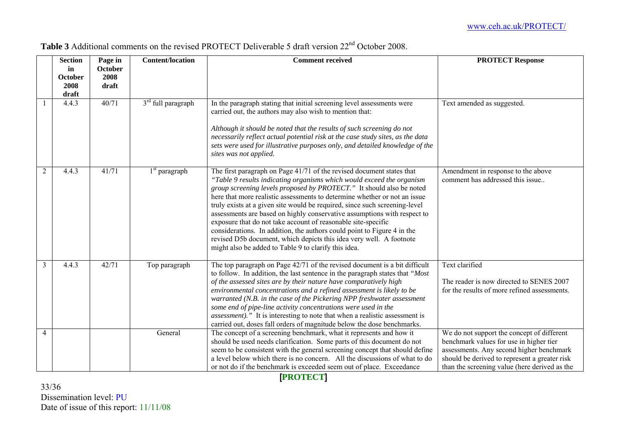|                | <b>Section</b> | Page in | <b>Content/location</b> | <b>Comment received</b>                                                                                                                                                                                                                                                                                                                                                                                                                                                                                                                                                                                                                                                                                                                  | <b>PROTECT Response</b>                                                                                                                                                            |
|----------------|----------------|---------|-------------------------|------------------------------------------------------------------------------------------------------------------------------------------------------------------------------------------------------------------------------------------------------------------------------------------------------------------------------------------------------------------------------------------------------------------------------------------------------------------------------------------------------------------------------------------------------------------------------------------------------------------------------------------------------------------------------------------------------------------------------------------|------------------------------------------------------------------------------------------------------------------------------------------------------------------------------------|
|                | in             | October |                         |                                                                                                                                                                                                                                                                                                                                                                                                                                                                                                                                                                                                                                                                                                                                          |                                                                                                                                                                                    |
|                | October        | 2008    |                         |                                                                                                                                                                                                                                                                                                                                                                                                                                                                                                                                                                                                                                                                                                                                          |                                                                                                                                                                                    |
|                | 2008           | draft   |                         |                                                                                                                                                                                                                                                                                                                                                                                                                                                                                                                                                                                                                                                                                                                                          |                                                                                                                                                                                    |
|                | draft          |         |                         |                                                                                                                                                                                                                                                                                                                                                                                                                                                                                                                                                                                                                                                                                                                                          |                                                                                                                                                                                    |
|                | 4.4.3          | 40/71   | $3rd$ full paragraph    | In the paragraph stating that initial screening level assessments were<br>carried out, the authors may also wish to mention that:                                                                                                                                                                                                                                                                                                                                                                                                                                                                                                                                                                                                        | Text amended as suggested.                                                                                                                                                         |
|                |                |         |                         | Although it should be noted that the results of such screening do not<br>necessarily reflect actual potential risk at the case study sites, as the data<br>sets were used for illustrative purposes only, and detailed knowledge of the<br>sites was not applied.                                                                                                                                                                                                                                                                                                                                                                                                                                                                        |                                                                                                                                                                                    |
| $\overline{2}$ | 4.4.3          | 41/71   | $1st$ paragraph         | The first paragraph on Page 41/71 of the revised document states that<br>"Table 9 results indicating organisms which would exceed the organism<br>group screening levels proposed by PROTECT." It should also be noted<br>here that more realistic assessments to determine whether or not an issue<br>truly exists at a given site would be required, since such screening-level<br>assessments are based on highly conservative assumptions with respect to<br>exposure that do not take account of reasonable site-specific<br>considerations. In addition, the authors could point to Figure 4 in the<br>revised D5b document, which depicts this idea very well. A footnote<br>might also be added to Table 9 to clarify this idea. | Amendment in response to the above<br>comment has addressed this issue                                                                                                             |
| $\overline{3}$ | 4.4.3          | 42/71   | Top paragraph           | The top paragraph on Page 42/71 of the revised document is a bit difficult<br>to follow. In addition, the last sentence in the paragraph states that "Most<br>of the assessed sites are by their nature have comparatively high<br>environmental concentrations and a refined assessment is likely to be<br>warranted (N.B. in the case of the Pickering NPP freshwater assessment<br>some end of pipe-line activity concentrations were used in the<br><i>assessment</i> )." It is interesting to note that when a realistic assessment is<br>carried out, doses fall orders of magnitude below the dose benchmarks.                                                                                                                    | Text clarified<br>The reader is now directed to SENES 2007<br>for the results of more refined assessments.                                                                         |
| $\overline{4}$ |                |         | General                 | The concept of a screening benchmark, what it represents and how it<br>should be used needs clarification. Some parts of this document do not<br>seem to be consistent with the general screening concept that should define<br>a level below which there is no concern. All the discussions of what to do                                                                                                                                                                                                                                                                                                                                                                                                                               | We do not support the concept of different<br>benchmark values for use in higher tier<br>assessments. Any second higher benchmark<br>should be derived to represent a greater risk |
|                |                |         |                         | or not do if the benchmark is exceeded seem out of place. Exceedance                                                                                                                                                                                                                                                                                                                                                                                                                                                                                                                                                                                                                                                                     | than the screening value (here derived as the                                                                                                                                      |

**Table 3** Additional comments on the revised PROTECT Deliverable 5 draft version 22<sup>nd</sup> October 2008.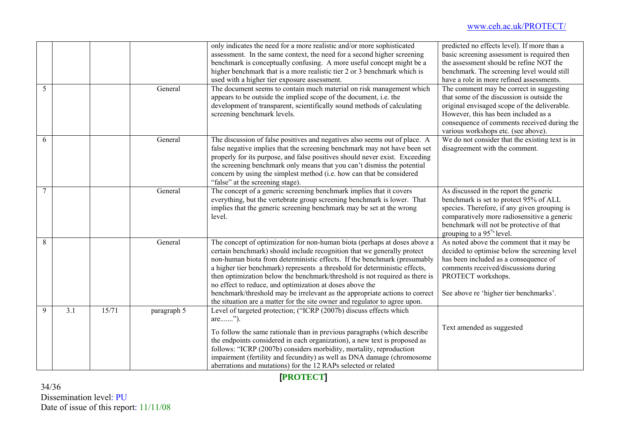|   |     |       |             | only indicates the need for a more realistic and/or more sophisticated<br>assessment. In the same context, the need for a second higher screening<br>benchmark is conceptually confusing. A more useful concept might be a<br>higher benchmark that is a more realistic tier 2 or 3 benchmark which is<br>used with a higher tier exposure assessment.                                                                                                                                                                                                                                                                 | predicted no effects level). If more than a<br>basic screening assessment is required then<br>the assessment should be refine NOT the<br>benchmark. The screening level would still<br>have a role in more refined assessments.                                      |
|---|-----|-------|-------------|------------------------------------------------------------------------------------------------------------------------------------------------------------------------------------------------------------------------------------------------------------------------------------------------------------------------------------------------------------------------------------------------------------------------------------------------------------------------------------------------------------------------------------------------------------------------------------------------------------------------|----------------------------------------------------------------------------------------------------------------------------------------------------------------------------------------------------------------------------------------------------------------------|
| 5 |     |       | General     | The document seems to contain much material on risk management which<br>appears to be outside the implied scope of the document, i.e. the<br>development of transparent, scientifically sound methods of calculating<br>screening benchmark levels.                                                                                                                                                                                                                                                                                                                                                                    | The comment may be correct in suggesting<br>that some of the discussion is outside the<br>original envisaged scope of the deliverable.<br>However, this has been included as a<br>consequence of comments received during the<br>various workshops etc. (see above). |
| 6 |     |       | General     | The discussion of false positives and negatives also seems out of place. A<br>false negative implies that the screening benchmark may not have been set<br>properly for its purpose, and false positives should never exist. Exceeding<br>the screening benchmark only means that you can't dismiss the potential<br>concern by using the simplest method (i.e. how can that be considered<br>"false" at the screening stage).                                                                                                                                                                                         | We do not consider that the existing text is in<br>disagreement with the comment.                                                                                                                                                                                    |
| 7 |     |       | General     | The concept of a generic screening benchmark implies that it covers<br>everything, but the vertebrate group screening benchmark is lower. That<br>implies that the generic screening benchmark may be set at the wrong<br>level.                                                                                                                                                                                                                                                                                                                                                                                       | As discussed in the report the generic<br>benchmark is set to protect 95% of ALL<br>species. Therefore, if any given grouping is<br>comparatively more radiosensitive a generic<br>benchmark will not be protective of that<br>grouping to a $95\%$ level.           |
| 8 |     |       | General     | The concept of optimization for non-human biota (perhaps at doses above a<br>certain benchmark) should include recognition that we generally protect<br>non-human biota from deterministic effects. If the benchmark (presumably<br>a higher tier benchmark) represents a threshold for deterministic effects,<br>then optimization below the benchmark/threshold is not required as there is<br>no effect to reduce, and optimization at doses above the<br>benchmark/threshold may be irrelevant as the appropriate actions to correct<br>the situation are a matter for the site owner and regulator to agree upon. | As noted above the comment that it may be<br>decided to optimise below the screening level<br>has been included as a consequence of<br>comments received/discussions during<br>PROTECT workshops.<br>See above re 'higher tier benchmarks'.                          |
| 9 | 3.1 | 15/71 | paragraph 5 | Level of targeted protection; ("ICRP (2007b) discuss effects which<br>are").<br>To follow the same rationale than in previous paragraphs (which describe<br>the endpoints considered in each organization), a new text is proposed as<br>follows: "ICRP (2007b) considers morbidity, mortality, reproduction<br>impairment (fertility and fecundity) as well as DNA damage (chromosome<br>aberrations and mutations) for the 12 RAPs selected or related                                                                                                                                                               | Text amended as suggested                                                                                                                                                                                                                                            |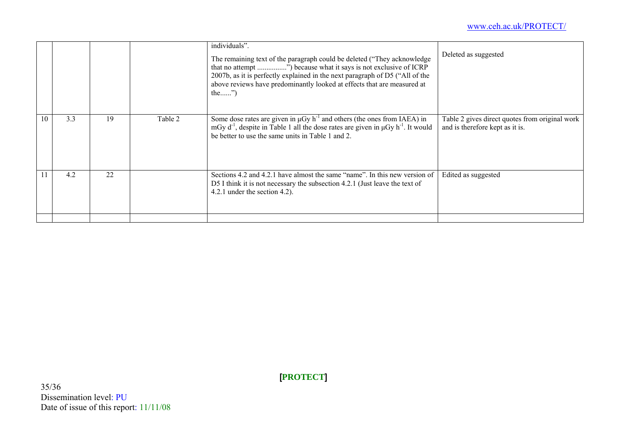#### www.ceh.ac.uk/PROTECT/

|    |     |    |         | individuals".<br>The remaining text of the paragraph could be deleted ("They acknowledge"<br>that no attempt ") because what it says is not exclusive of ICRP<br>2007b, as it is perfectly explained in the next paragraph of D5 ("All of the<br>above reviews have predominantly looked at effects that are measured at<br>the $\mathcal{P}$ | Deleted as suggested                                                              |
|----|-----|----|---------|-----------------------------------------------------------------------------------------------------------------------------------------------------------------------------------------------------------------------------------------------------------------------------------------------------------------------------------------------|-----------------------------------------------------------------------------------|
| 10 | 3.3 | 19 | Table 2 | Some dose rates are given in $\mu$ Gy h <sup>-1</sup> and others (the ones from IAEA) in<br>mGy $d^{-1}$ , despite in Table 1 all the dose rates are given in $\mu$ Gy h <sup>-1</sup> . It would<br>be better to use the same units in Table 1 and 2.                                                                                        | Table 2 gives direct quotes from original work<br>and is therefore kept as it is. |
| 11 | 4.2 | 22 |         | Sections 4.2 and 4.2.1 have almost the same "name". In this new version of<br>D5 I think it is not necessary the subsection 4.2.1 (Just leave the text of<br>4.2.1 under the section 4.2).                                                                                                                                                    | Edited as suggested                                                               |
|    |     |    |         |                                                                                                                                                                                                                                                                                                                                               |                                                                                   |